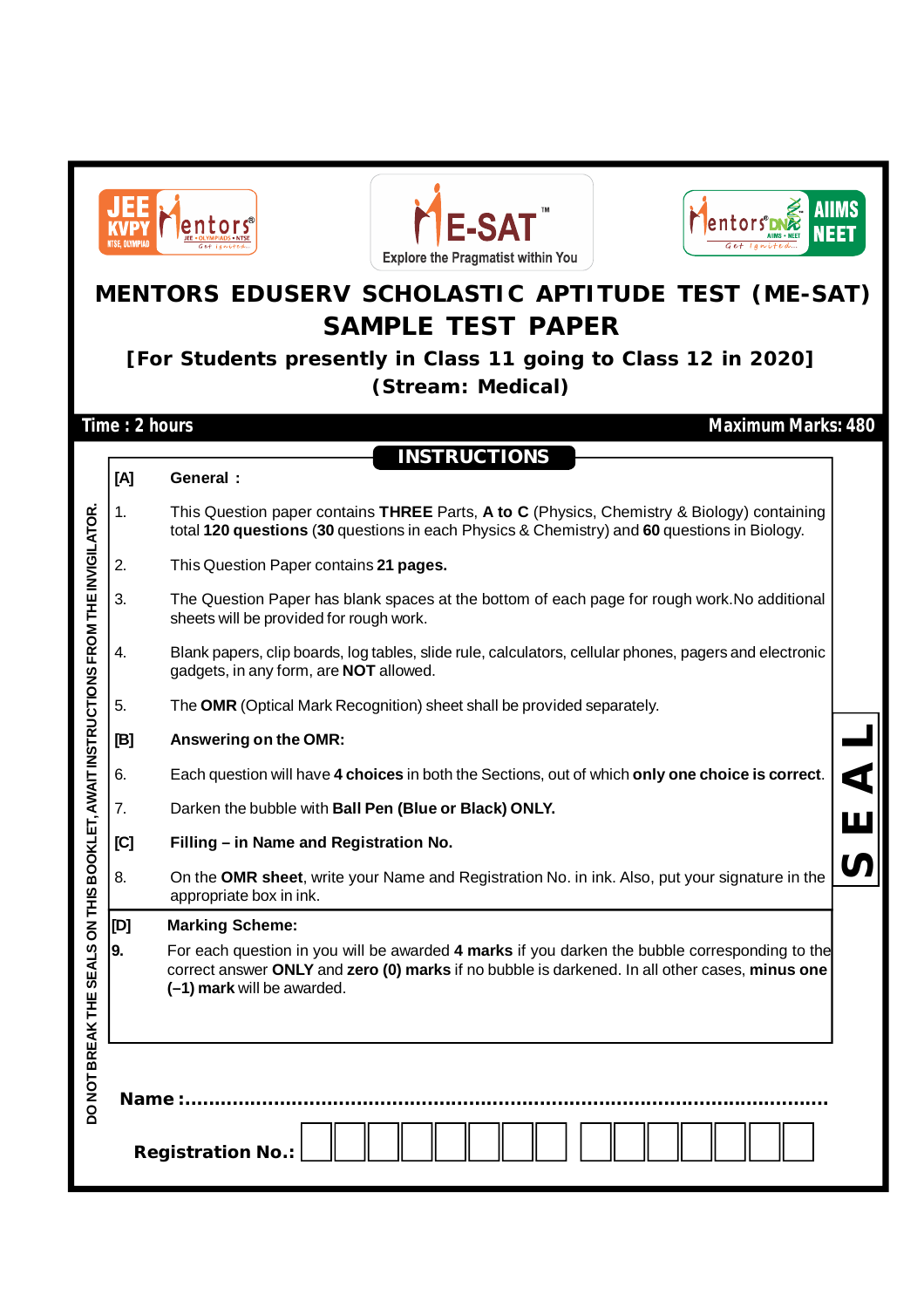|                                                 | NTSE. OLYMPIAI                                                                             | <b>E-SAT</b><br><b>Explore the Pragmatist within You</b>                                                                                                                                                                       |  |  |  |  |  |  |  |  |  |
|-------------------------------------------------|--------------------------------------------------------------------------------------------|--------------------------------------------------------------------------------------------------------------------------------------------------------------------------------------------------------------------------------|--|--|--|--|--|--|--|--|--|
|                                                 | MENTORS EDUSERV SCHOLASTIC APTITUDE TEST (ME-SAT)                                          |                                                                                                                                                                                                                                |  |  |  |  |  |  |  |  |  |
|                                                 | <b>SAMPLE TEST PAPER</b><br>[For Students presently in Class 11 going to Class 12 in 2020] |                                                                                                                                                                                                                                |  |  |  |  |  |  |  |  |  |
|                                                 | (Stream: Medical)                                                                          |                                                                                                                                                                                                                                |  |  |  |  |  |  |  |  |  |
| Time: 2 hours<br><b>Maximum Marks: 480</b>      |                                                                                            |                                                                                                                                                                                                                                |  |  |  |  |  |  |  |  |  |
|                                                 |                                                                                            | <b>INSTRUCTIONS</b>                                                                                                                                                                                                            |  |  |  |  |  |  |  |  |  |
|                                                 | [A]                                                                                        | General :                                                                                                                                                                                                                      |  |  |  |  |  |  |  |  |  |
|                                                 | 1.                                                                                         | This Question paper contains THREE Parts, A to C (Physics, Chemistry & Biology) containing<br>total 120 questions (30 questions in each Physics & Chemistry) and 60 questions in Biology.                                      |  |  |  |  |  |  |  |  |  |
|                                                 | 2.                                                                                         | This Question Paper contains 21 pages.                                                                                                                                                                                         |  |  |  |  |  |  |  |  |  |
| OKLET, AWAIT INSTRUCTIONS FROM THE INVIGILATOR. | 3.                                                                                         | The Question Paper has blank spaces at the bottom of each page for rough work. No additional<br>sheets will be provided for rough work.                                                                                        |  |  |  |  |  |  |  |  |  |
|                                                 | 4.                                                                                         | Blank papers, clip boards, log tables, slide rule, calculators, cellular phones, pagers and electronic<br>gadgets, in any form, are <b>NOT</b> allowed.                                                                        |  |  |  |  |  |  |  |  |  |
|                                                 | 5.                                                                                         | The OMR (Optical Mark Recognition) sheet shall be provided separately.                                                                                                                                                         |  |  |  |  |  |  |  |  |  |
|                                                 | [B]                                                                                        | Answering on the OMR:                                                                                                                                                                                                          |  |  |  |  |  |  |  |  |  |
|                                                 | 6.                                                                                         | Each question will have 4 choices in both the Sections, out of which only one choice is correct.                                                                                                                               |  |  |  |  |  |  |  |  |  |
|                                                 | 7.                                                                                         | Darken the bubble with Ball Pen (Blue or Black) ONLY.                                                                                                                                                                          |  |  |  |  |  |  |  |  |  |
|                                                 | [C]                                                                                        | Filling - in Name and Registration No.                                                                                                                                                                                         |  |  |  |  |  |  |  |  |  |
|                                                 | 8.                                                                                         | On the OMR sheet, write your Name and Registration No. in ink. Also, put your signature in the<br>appropriate box in ink.                                                                                                      |  |  |  |  |  |  |  |  |  |
|                                                 | [D]                                                                                        | <b>Marking Scheme:</b>                                                                                                                                                                                                         |  |  |  |  |  |  |  |  |  |
| DO NOT BREAK THE SEALS ON THIS BO               | 9.                                                                                         | For each question in you will be awarded 4 marks if you darken the bubble corresponding to the<br>correct answer ONLY and zero (0) marks if no bubble is darkened. In all other cases, minus one<br>(-1) mark will be awarded. |  |  |  |  |  |  |  |  |  |
|                                                 | Name:                                                                                      | <b>Registration No.:</b>                                                                                                                                                                                                       |  |  |  |  |  |  |  |  |  |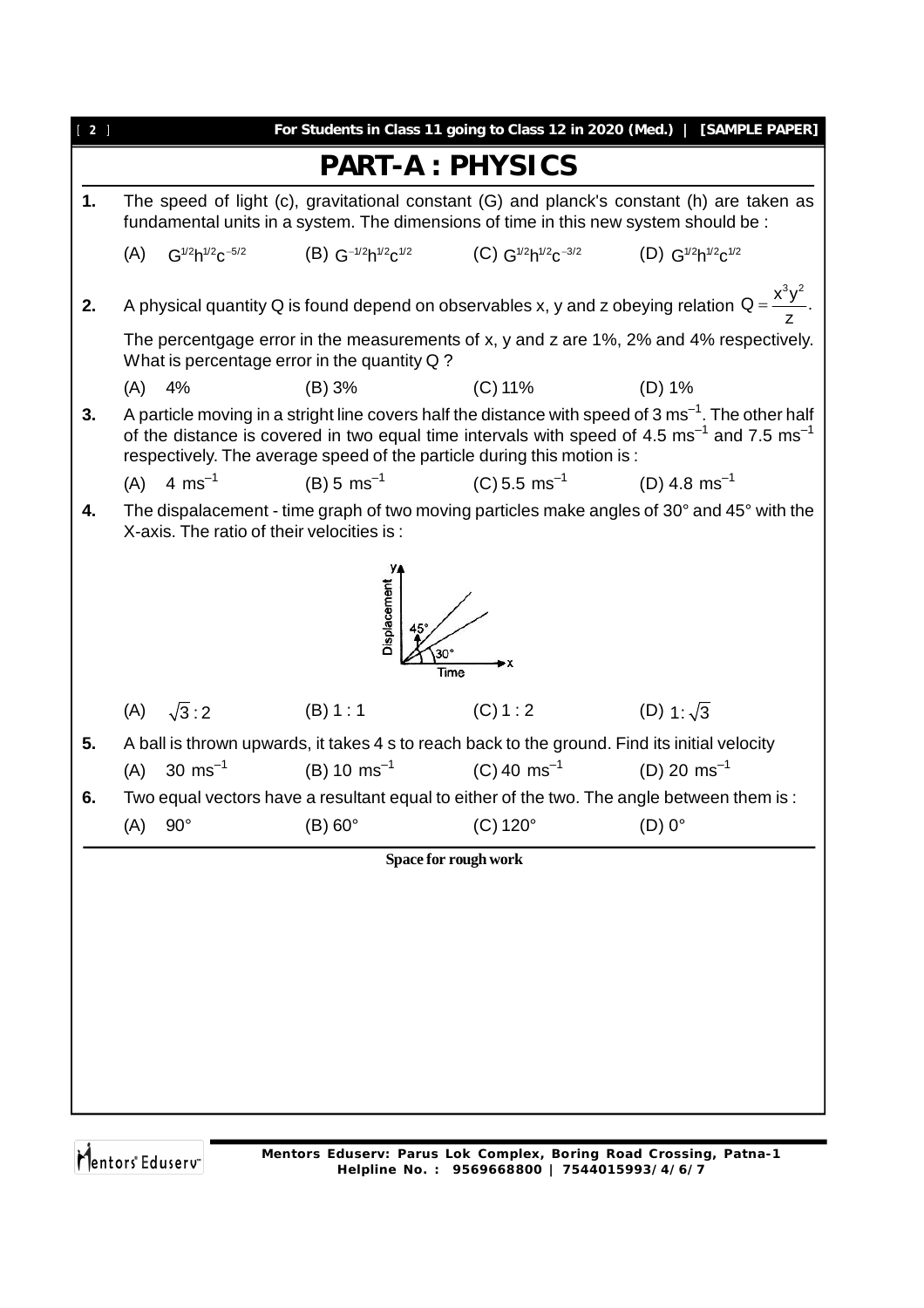| $\begin{bmatrix} 2 \end{bmatrix}$ |                                                                                                                                                                                                                                                                                                                 |                                  |                                           |                                                                                                                | For Students in Class 11 going to Class 12 in 2020 (Med.)   [SAMPLE PAPER]                                 |  |  |  |  |  |
|-----------------------------------|-----------------------------------------------------------------------------------------------------------------------------------------------------------------------------------------------------------------------------------------------------------------------------------------------------------------|----------------------------------|-------------------------------------------|----------------------------------------------------------------------------------------------------------------|------------------------------------------------------------------------------------------------------------|--|--|--|--|--|
|                                   |                                                                                                                                                                                                                                                                                                                 |                                  |                                           | <b>PART-A: PHYSICS</b>                                                                                         |                                                                                                            |  |  |  |  |  |
| 1.                                |                                                                                                                                                                                                                                                                                                                 |                                  |                                           | fundamental units in a system. The dimensions of time in this new system should be :                           | The speed of light (c), gravitational constant (G) and planck's constant (h) are taken as                  |  |  |  |  |  |
|                                   | (A)                                                                                                                                                                                                                                                                                                             |                                  |                                           | $G^{1/2}h^{1/2}c^{-5/2}$ (B) $G^{-1/2}h^{1/2}c^{1/2}$ (C) $G^{1/2}h^{1/2}c^{-3/2}$ (D) $G^{1/2}h^{1/2}c^{1/2}$ |                                                                                                            |  |  |  |  |  |
| 2.                                |                                                                                                                                                                                                                                                                                                                 |                                  |                                           |                                                                                                                | A physical quantity Q is found depend on observables x, y and z obeying relation $Q = \frac{x^3 y^2}{7}$ . |  |  |  |  |  |
|                                   | The percentgage error in the measurements of x, y and z are 1%, 2% and 4% respectively.<br>What is percentage error in the quantity Q?                                                                                                                                                                          |                                  |                                           |                                                                                                                |                                                                                                            |  |  |  |  |  |
|                                   | (A)                                                                                                                                                                                                                                                                                                             | 4%                               | (B) 3%                                    | $(C)$ 11%                                                                                                      | (D) 1%                                                                                                     |  |  |  |  |  |
| 3.                                | A particle moving in a stright line covers half the distance with speed of 3 $\text{ms}^{-1}$ . The other half<br>of the distance is covered in two equal time intervals with speed of 4.5 $\text{ms}^{-1}$ and 7.5 $\text{ms}^{-1}$<br>respectively. The average speed of the particle during this motion is : |                                  |                                           |                                                                                                                |                                                                                                            |  |  |  |  |  |
|                                   |                                                                                                                                                                                                                                                                                                                 | (A) $4 \text{ ms}^{-1}$          | $(B) 5 ms^{-1}$                           | (C) 5.5 ms <sup>-1</sup> (D) 4.8 ms <sup>-1</sup>                                                              |                                                                                                            |  |  |  |  |  |
| 4.                                |                                                                                                                                                                                                                                                                                                                 |                                  | X-axis. The ratio of their velocities is: |                                                                                                                | The dispalacement - time graph of two moving particles make angles of 30° and 45° with the                 |  |  |  |  |  |
|                                   |                                                                                                                                                                                                                                                                                                                 |                                  | <b>Displacement</b>                       | Time                                                                                                           |                                                                                                            |  |  |  |  |  |
|                                   |                                                                                                                                                                                                                                                                                                                 | (A) $\sqrt{3}:2$                 | (B) 1:1                                   | (C) 1:2                                                                                                        | (D) $1:\sqrt{3}$                                                                                           |  |  |  |  |  |
| 5.                                |                                                                                                                                                                                                                                                                                                                 |                                  |                                           |                                                                                                                | A ball is thrown upwards, it takes 4 s to reach back to the ground. Find its initial velocity              |  |  |  |  |  |
|                                   | (A)                                                                                                                                                                                                                                                                                                             | 30 ms <sup><math>-1</math></sup> |                                           | (B) 10 ms <sup>-1</sup> (C) 40 ms <sup>-1</sup>                                                                | (D) 20 ms <sup>-1</sup>                                                                                    |  |  |  |  |  |
| 6.                                |                                                                                                                                                                                                                                                                                                                 |                                  |                                           |                                                                                                                | Two equal vectors have a resultant equal to either of the two. The angle between them is:                  |  |  |  |  |  |
|                                   | (A)                                                                                                                                                                                                                                                                                                             | $90^\circ$                       | $(B) 60^\circ$                            | $(C) 120^\circ$                                                                                                | $(D)$ 0°                                                                                                   |  |  |  |  |  |
|                                   |                                                                                                                                                                                                                                                                                                                 |                                  |                                           | Space for rough work                                                                                           |                                                                                                            |  |  |  |  |  |
|                                   |                                                                                                                                                                                                                                                                                                                 |                                  |                                           |                                                                                                                |                                                                                                            |  |  |  |  |  |
|                                   |                                                                                                                                                                                                                                                                                                                 |                                  |                                           |                                                                                                                |                                                                                                            |  |  |  |  |  |
|                                   |                                                                                                                                                                                                                                                                                                                 |                                  |                                           |                                                                                                                |                                                                                                            |  |  |  |  |  |
|                                   |                                                                                                                                                                                                                                                                                                                 |                                  |                                           |                                                                                                                |                                                                                                            |  |  |  |  |  |
|                                   |                                                                                                                                                                                                                                                                                                                 |                                  |                                           |                                                                                                                |                                                                                                            |  |  |  |  |  |
|                                   |                                                                                                                                                                                                                                                                                                                 |                                  |                                           |                                                                                                                |                                                                                                            |  |  |  |  |  |
|                                   |                                                                                                                                                                                                                                                                                                                 |                                  |                                           |                                                                                                                |                                                                                                            |  |  |  |  |  |
|                                   |                                                                                                                                                                                                                                                                                                                 |                                  |                                           |                                                                                                                |                                                                                                            |  |  |  |  |  |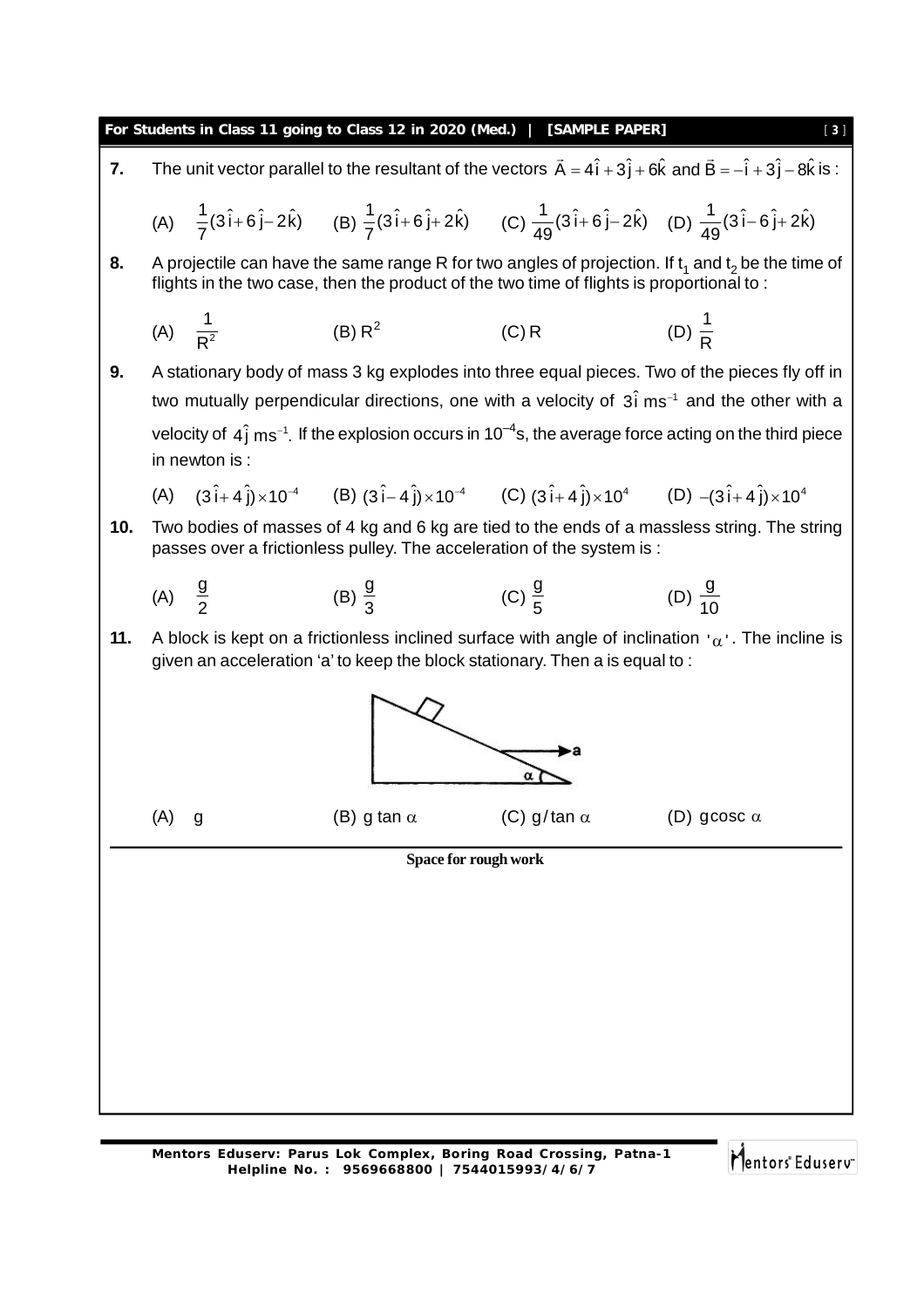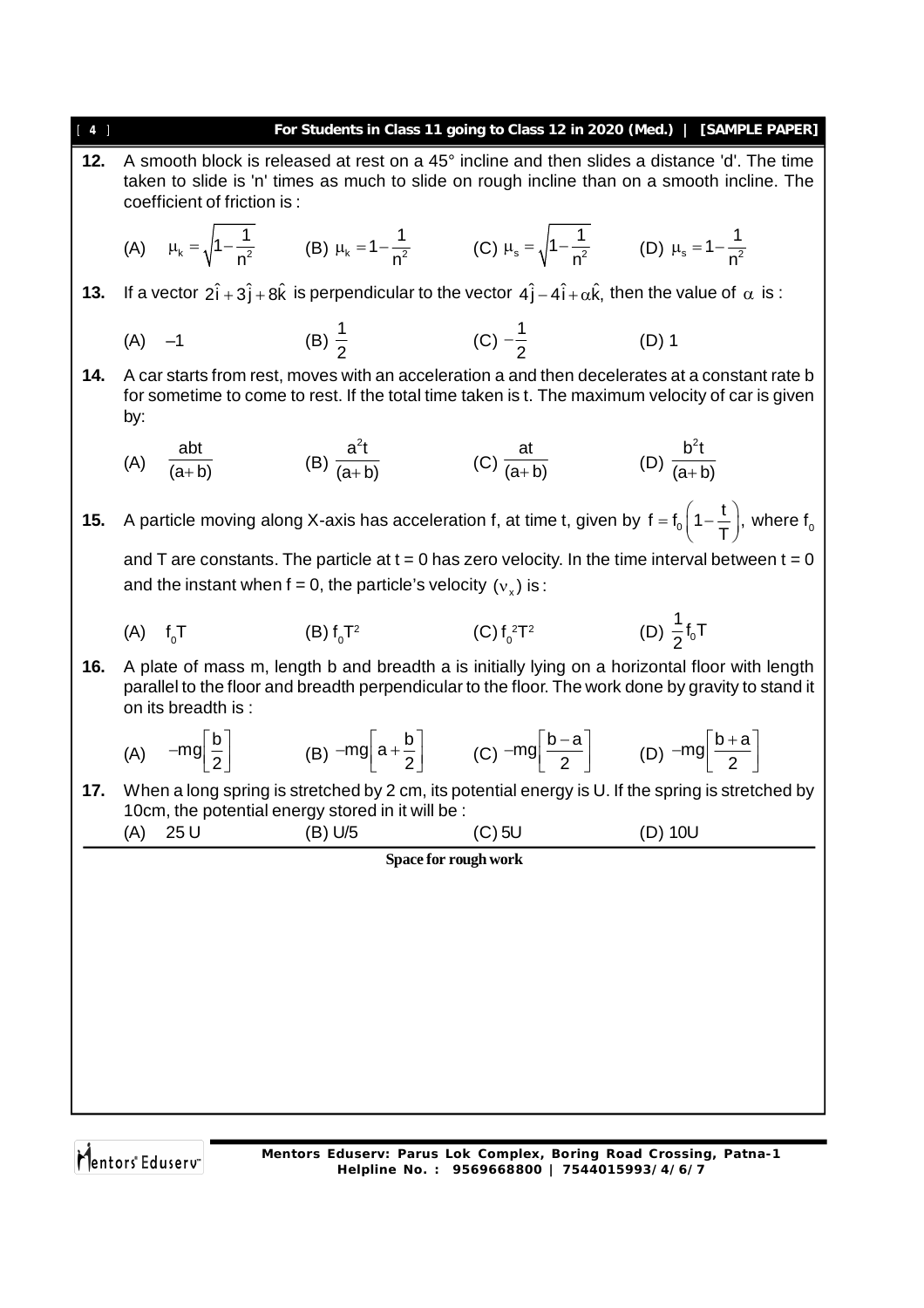| 4   |                |                             |                                                                                                                                                    |                                            | For Students in Class 11 going to Class 12 in 2020 (Med.)   [SAMPLE PAPER]                                                                                                                           |
|-----|----------------|-----------------------------|----------------------------------------------------------------------------------------------------------------------------------------------------|--------------------------------------------|------------------------------------------------------------------------------------------------------------------------------------------------------------------------------------------------------|
| 12. |                | coefficient of friction is: |                                                                                                                                                    |                                            | A smooth block is released at rest on a 45° incline and then slides a distance 'd'. The time<br>taken to slide is 'n' times as much to slide on rough incline than on a smooth incline. The          |
|     |                |                             | (A) $\mu_k = \sqrt{1 - \frac{1}{n^2}}$ (B) $\mu_k = 1 - \frac{1}{n^2}$ (C) $\mu_s = \sqrt{1 - \frac{1}{n^2}}$ (D) $\mu_s = 1 - \frac{1}{n^2}$      |                                            |                                                                                                                                                                                                      |
| 13. |                |                             | If a vector $2\hat{i} + 3\hat{j} + 8\hat{k}$ is perpendicular to the vector $4\hat{j} - 4\hat{i} + \alpha\hat{k}$ , then the value of $\alpha$ is: |                                            |                                                                                                                                                                                                      |
|     | $(A)$ -1       |                             |                                                                                                                                                    | (B) $\frac{1}{2}$ (C) $-\frac{1}{2}$ (D) 1 |                                                                                                                                                                                                      |
| 14. | by:            |                             |                                                                                                                                                    |                                            | A car starts from rest, moves with an acceleration a and then decelerates at a constant rate b<br>for sometime to come to rest. If the total time taken is t. The maximum velocity of car is given   |
|     |                | (A) $\frac{abt}{(a+b)}$     | (B) $\frac{a^2t}{(a+b)}$                                                                                                                           | (C) $\frac{at}{(a+b)}$                     | (D) $\frac{b^2t}{(a+b)}$                                                                                                                                                                             |
| 15. |                |                             |                                                                                                                                                    |                                            | A particle moving along X-axis has acceleration f, at time t, given by $f = f_0 \left(1 - \frac{t}{T}\right)$ , where $f_0$                                                                          |
|     |                |                             | and the instant when $f = 0$ , the particle's velocity $(v_x)$ is:                                                                                 |                                            | and T are constants. The particle at $t = 0$ has zero velocity. In the time interval between $t = 0$                                                                                                 |
|     | $(A)$ $f_{0}T$ |                             | (B) $f_0T^2$                                                                                                                                       | (C) $f_0^2T^2$                             | (D) $\frac{1}{2}$ f <sub>0</sub> T                                                                                                                                                                   |
| 16. |                | on its breadth is:          |                                                                                                                                                    |                                            | A plate of mass m, length b and breadth a is initially lying on a horizontal floor with length<br>parallel to the floor and breadth perpendicular to the floor. The work done by gravity to stand it |
|     |                |                             | (A) $-mg\left[\frac{b}{2}\right]$ (B) $-mg\left[a+\frac{b}{2}\right]$ (C) $-mg\left \frac{b-a}{2}\right $ (D) $-mg\left \frac{b+a}{2}\right $      |                                            |                                                                                                                                                                                                      |
| 17. | (A)            | 25 U                        | 10cm, the potential energy stored in it will be :<br>(B) U/5                                                                                       | $(C)$ 5U                                   | When a long spring is stretched by 2 cm, its potential energy is U. If the spring is stretched by<br>(D) 10U                                                                                         |
|     |                |                             | Space for rough work                                                                                                                               |                                            |                                                                                                                                                                                                      |
|     |                |                             |                                                                                                                                                    |                                            |                                                                                                                                                                                                      |
|     |                |                             |                                                                                                                                                    |                                            |                                                                                                                                                                                                      |
|     |                |                             |                                                                                                                                                    |                                            |                                                                                                                                                                                                      |
|     |                |                             |                                                                                                                                                    |                                            |                                                                                                                                                                                                      |
|     |                |                             |                                                                                                                                                    |                                            |                                                                                                                                                                                                      |
|     |                |                             |                                                                                                                                                    |                                            |                                                                                                                                                                                                      |
|     |                |                             |                                                                                                                                                    |                                            |                                                                                                                                                                                                      |
|     |                |                             |                                                                                                                                                    |                                            |                                                                                                                                                                                                      |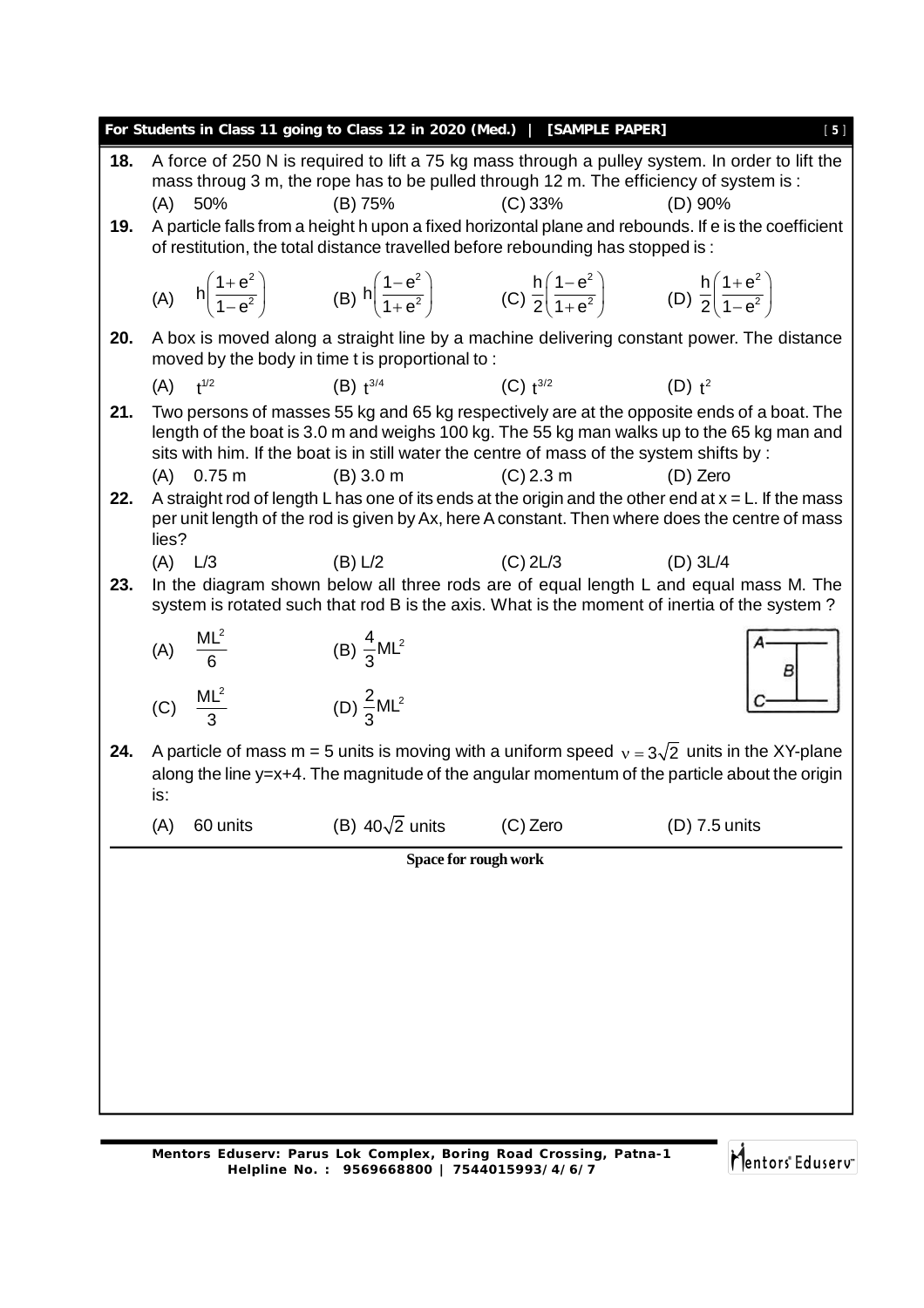|     |       |                      | For Students in Class 11 going to Class 12 in 2020 (Med.)   [SAMPLE PAPER]                                                                                                          |                      | $[5]$                                                                                                                                                                                                     |
|-----|-------|----------------------|-------------------------------------------------------------------------------------------------------------------------------------------------------------------------------------|----------------------|-----------------------------------------------------------------------------------------------------------------------------------------------------------------------------------------------------------|
| 18. | (A)   | 50%                  | (B) 75%                                                                                                                                                                             | (C) 33%              | A force of 250 N is required to lift a 75 kg mass through a pulley system. In order to lift the<br>mass throug 3 m, the rope has to be pulled through 12 m. The efficiency of system is :<br>$(D)$ 90%    |
| 19. |       |                      | of restitution, the total distance travelled before rebounding has stopped is :                                                                                                     |                      | A particle falls from a height h upon a fixed horizontal plane and rebounds. If e is the coefficient                                                                                                      |
|     |       |                      | (A) $h\left(\frac{1+e^2}{1-e^2}\right)$ (B) $h\left(\frac{1-e^2}{1+e^2}\right)$ (C) $\frac{h}{2}\left(\frac{1-e^2}{1+e^2}\right)$ (D) $\frac{h}{2}\left(\frac{1+e^2}{1-e^2}\right)$ |                      |                                                                                                                                                                                                           |
| 20. |       |                      | moved by the body in time t is proportional to:                                                                                                                                     |                      | A box is moved along a straight line by a machine delivering constant power. The distance                                                                                                                 |
|     |       | $(A)$ $t^{1/2}$      | $(B)$ $t^{3/4}$                                                                                                                                                                     | $(C)$ $t^{3/2}$      | $(D)$ $t^2$                                                                                                                                                                                               |
| 21. |       |                      | sits with him. If the boat is in still water the centre of mass of the system shifts by :                                                                                           |                      | Two persons of masses 55 kg and 65 kg respectively are at the opposite ends of a boat. The<br>length of the boat is 3.0 m and weighs 100 kg. The 55 kg man walks up to the 65 kg man and                  |
|     |       | $(A)$ 0.75 m         | (B) 3.0 m                                                                                                                                                                           | $(C)$ 2.3 m          | (D) Zero                                                                                                                                                                                                  |
| 22. | lies? |                      |                                                                                                                                                                                     |                      | A straight rod of length L has one of its ends at the origin and the other end at $x = L$ . If the mass<br>per unit length of the rod is given by Ax, here A constant. Then where does the centre of mass |
|     |       | $(A)$ $L/3$          | (B) L/2                                                                                                                                                                             | $(C)$ 2L/3           | $(D)$ 3L/4                                                                                                                                                                                                |
| 23. |       |                      |                                                                                                                                                                                     |                      | In the diagram shown below all three rods are of equal length L and equal mass M. The<br>system is rotated such that rod B is the axis. What is the moment of inertia of the system?                      |
|     |       | (A) $\frac{ML^2}{6}$ | (B) $\frac{4}{3}$ ML <sup>2</sup><br>(D) $\frac{2}{3}$ ML <sup>2</sup>                                                                                                              |                      | B                                                                                                                                                                                                         |
|     |       | (C) $\frac{ML^2}{3}$ |                                                                                                                                                                                     |                      |                                                                                                                                                                                                           |
| 24. | is:   |                      |                                                                                                                                                                                     |                      | A particle of mass m = 5 units is moving with a uniform speed $v = 3\sqrt{2}$ units in the XY-plane<br>along the line y=x+4. The magnitude of the angular momentum of the particle about the origin       |
|     | (A)   | 60 units             | (B) $40\sqrt{2}$ units                                                                                                                                                              | (C) Zero             | (D) 7.5 units                                                                                                                                                                                             |
|     |       |                      |                                                                                                                                                                                     | Space for rough work |                                                                                                                                                                                                           |
|     |       |                      |                                                                                                                                                                                     |                      |                                                                                                                                                                                                           |
|     |       |                      |                                                                                                                                                                                     |                      |                                                                                                                                                                                                           |
|     |       |                      |                                                                                                                                                                                     |                      |                                                                                                                                                                                                           |
|     |       |                      |                                                                                                                                                                                     |                      |                                                                                                                                                                                                           |
|     |       |                      |                                                                                                                                                                                     |                      |                                                                                                                                                                                                           |
|     |       |                      |                                                                                                                                                                                     |                      |                                                                                                                                                                                                           |
|     |       |                      |                                                                                                                                                                                     |                      |                                                                                                                                                                                                           |
|     |       |                      |                                                                                                                                                                                     |                      |                                                                                                                                                                                                           |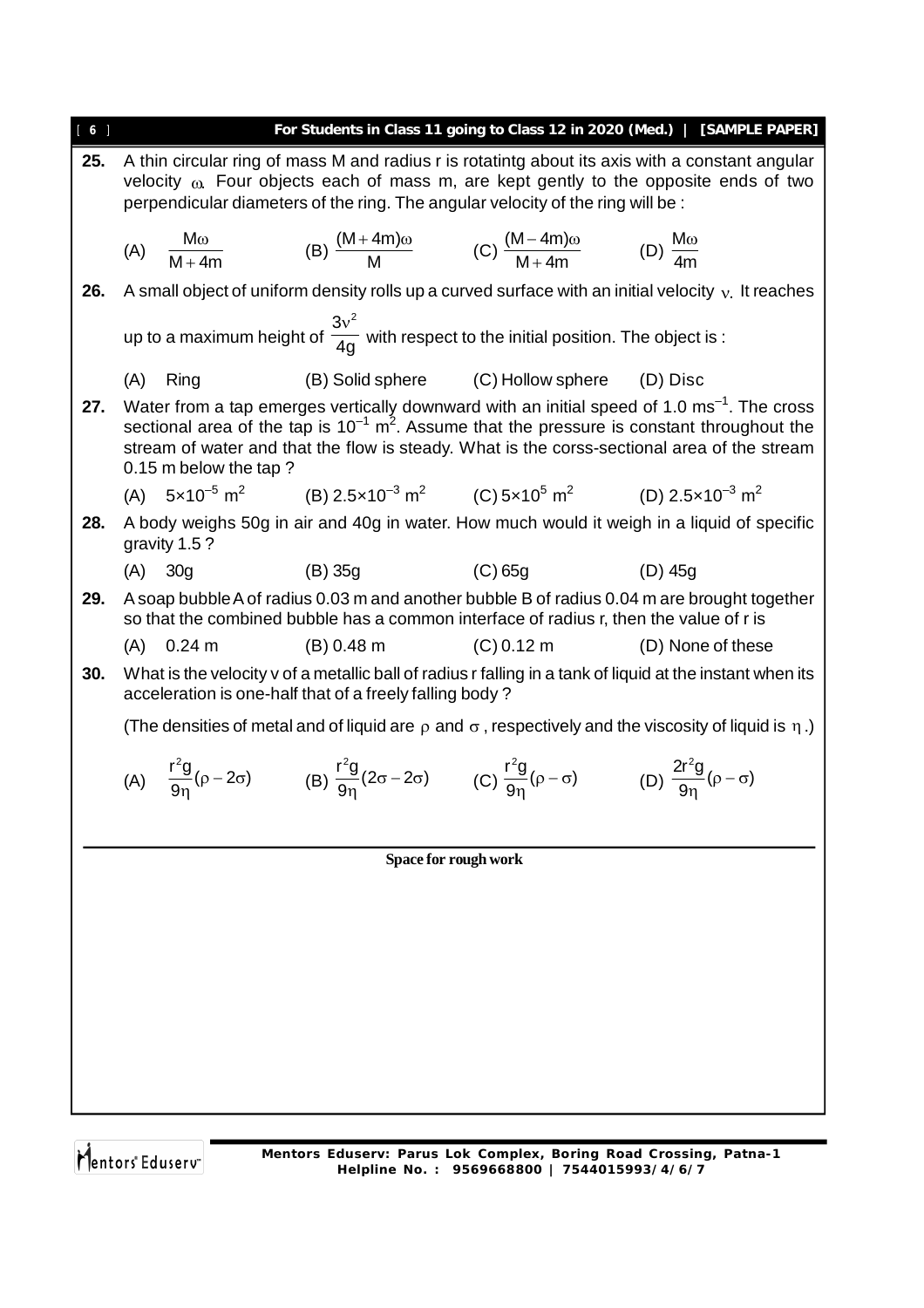| [6] |                                                                                                                                                                                                                                                                                                                                               |              |                                                                                                                                                            |                                               | For Students in Class 11 going to Class 12 in 2020 (Med.)   [SAMPLE PAPER]                                                                                                                      |  |  |  |  |
|-----|-----------------------------------------------------------------------------------------------------------------------------------------------------------------------------------------------------------------------------------------------------------------------------------------------------------------------------------------------|--------------|------------------------------------------------------------------------------------------------------------------------------------------------------------|-----------------------------------------------|-------------------------------------------------------------------------------------------------------------------------------------------------------------------------------------------------|--|--|--|--|
| 25. |                                                                                                                                                                                                                                                                                                                                               |              | perpendicular diameters of the ring. The angular velocity of the ring will be:                                                                             |                                               | A thin circular ring of mass M and radius r is rotatintg about its axis with a constant angular<br>velocity $\omega$ . Four objects each of mass m, are kept gently to the opposite ends of two |  |  |  |  |
|     |                                                                                                                                                                                                                                                                                                                                               |              | (A) $\frac{M\omega}{M+4m}$ (B) $\frac{(M+4m)\omega}{M}$ (C) $\frac{(M-4m)\omega}{M+4m}$ (D) $\frac{M\omega}{4m}$                                           |                                               |                                                                                                                                                                                                 |  |  |  |  |
| 26. |                                                                                                                                                                                                                                                                                                                                               |              |                                                                                                                                                            |                                               | A small object of uniform density rolls up a curved surface with an initial velocity $v$ . It reaches                                                                                           |  |  |  |  |
|     |                                                                                                                                                                                                                                                                                                                                               |              | up to a maximum height of $\frac{3v^2}{4g}$ with respect to the initial position. The object is :                                                          |                                               |                                                                                                                                                                                                 |  |  |  |  |
|     | (A)                                                                                                                                                                                                                                                                                                                                           | Ring         |                                                                                                                                                            | (B) Solid sphere (C) Hollow sphere (D) Disc   |                                                                                                                                                                                                 |  |  |  |  |
| 27. | Water from a tap emerges vertically downward with an initial speed of 1.0 ms <sup>-1</sup> . The cross<br>sectional area of the tap is $10^{-1}$ m <sup>2</sup> . Assume that the pressure is constant throughout the<br>stream of water and that the flow is steady. What is the corss-sectional area of the stream<br>0.15 m below the tap? |              |                                                                                                                                                            |                                               |                                                                                                                                                                                                 |  |  |  |  |
|     |                                                                                                                                                                                                                                                                                                                                               |              | (A) $5 \times 10^{-5}$ m <sup>2</sup> (B) $2.5 \times 10^{-3}$ m <sup>2</sup> (C) $5 \times 10^{5}$ m <sup>2</sup> (D) $2.5 \times 10^{-3}$ m <sup>2</sup> |                                               |                                                                                                                                                                                                 |  |  |  |  |
| 28. |                                                                                                                                                                                                                                                                                                                                               | gravity 1.5? |                                                                                                                                                            |                                               | A body weighs 50g in air and 40g in water. How much would it weigh in a liquid of specific                                                                                                      |  |  |  |  |
|     |                                                                                                                                                                                                                                                                                                                                               | $(A)$ 30g    | $(C)$ 65g<br>(B) 35g                                                                                                                                       |                                               | (D) 45g                                                                                                                                                                                         |  |  |  |  |
| 29. |                                                                                                                                                                                                                                                                                                                                               |              | so that the combined bubble has a common interface of radius r, then the value of r is                                                                     |                                               | A soap bubble A of radius 0.03 m and another bubble B of radius 0.04 m are brought together                                                                                                     |  |  |  |  |
|     |                                                                                                                                                                                                                                                                                                                                               | $(A)$ 0.24 m |                                                                                                                                                            | $(B) 0.48 m$ $(C) 0.12 m$ $(D) None of these$ |                                                                                                                                                                                                 |  |  |  |  |
| 30. |                                                                                                                                                                                                                                                                                                                                               |              | acceleration is one-half that of a freely falling body?                                                                                                    |                                               | What is the velocity v of a metallic ball of radius r falling in a tank of liquid at the instant when its                                                                                       |  |  |  |  |
|     |                                                                                                                                                                                                                                                                                                                                               |              |                                                                                                                                                            |                                               | (The densities of metal and of liquid are $\rho$ and $\sigma$ , respectively and the viscosity of liquid is $\eta$ .)                                                                           |  |  |  |  |
|     |                                                                                                                                                                                                                                                                                                                                               |              | (A) $\frac{r^2g}{9n}(\rho - 2\sigma)$ (B) $\frac{r^2g}{9n}(2\sigma - 2\sigma)$ (C) $\frac{r^2g}{9n}(\rho - \sigma)$ (D) $\frac{2r^2g}{9n}(\rho - \sigma)$  |                                               |                                                                                                                                                                                                 |  |  |  |  |
|     |                                                                                                                                                                                                                                                                                                                                               |              |                                                                                                                                                            |                                               |                                                                                                                                                                                                 |  |  |  |  |
|     |                                                                                                                                                                                                                                                                                                                                               |              |                                                                                                                                                            | <b>Space for rough work</b>                   |                                                                                                                                                                                                 |  |  |  |  |
|     |                                                                                                                                                                                                                                                                                                                                               |              |                                                                                                                                                            |                                               |                                                                                                                                                                                                 |  |  |  |  |
|     |                                                                                                                                                                                                                                                                                                                                               |              |                                                                                                                                                            |                                               |                                                                                                                                                                                                 |  |  |  |  |
|     |                                                                                                                                                                                                                                                                                                                                               |              |                                                                                                                                                            |                                               |                                                                                                                                                                                                 |  |  |  |  |
|     |                                                                                                                                                                                                                                                                                                                                               |              |                                                                                                                                                            |                                               |                                                                                                                                                                                                 |  |  |  |  |
|     |                                                                                                                                                                                                                                                                                                                                               |              |                                                                                                                                                            |                                               |                                                                                                                                                                                                 |  |  |  |  |
|     |                                                                                                                                                                                                                                                                                                                                               |              |                                                                                                                                                            |                                               |                                                                                                                                                                                                 |  |  |  |  |
|     |                                                                                                                                                                                                                                                                                                                                               |              |                                                                                                                                                            |                                               |                                                                                                                                                                                                 |  |  |  |  |
|     |                                                                                                                                                                                                                                                                                                                                               |              |                                                                                                                                                            |                                               |                                                                                                                                                                                                 |  |  |  |  |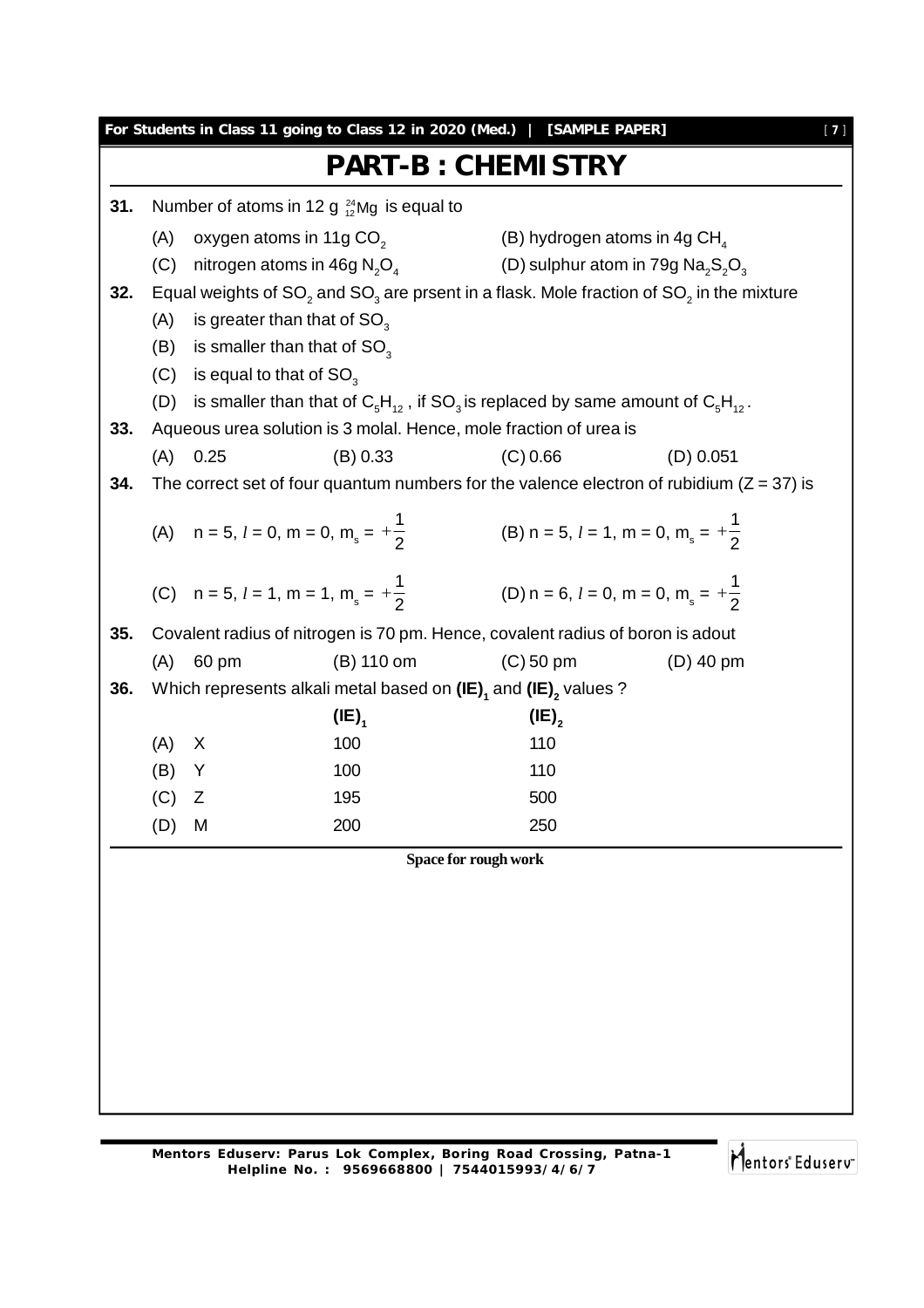| 31. |     |                                | Number of atoms in 12 g $^{24}_{12}$ Mg is equal to                                                      |                                                                                                                                                                                                                                                                                                                                                                                                                                                                                                                                                                                                             |                                                                                                  |
|-----|-----|--------------------------------|----------------------------------------------------------------------------------------------------------|-------------------------------------------------------------------------------------------------------------------------------------------------------------------------------------------------------------------------------------------------------------------------------------------------------------------------------------------------------------------------------------------------------------------------------------------------------------------------------------------------------------------------------------------------------------------------------------------------------------|--------------------------------------------------------------------------------------------------|
|     |     |                                |                                                                                                          |                                                                                                                                                                                                                                                                                                                                                                                                                                                                                                                                                                                                             |                                                                                                  |
|     |     |                                | (A) oxygen atoms in 11g $CO2$<br>(C) nitrogen atoms in 46g $N_2O_4$                                      | (B) hydrogen atoms in 4g CH $_{\textrm{\tiny{A}}}$                                                                                                                                                                                                                                                                                                                                                                                                                                                                                                                                                          | (D) sulphur atom in 79g $\text{Na}_2\text{S}_2\text{O}_3$                                        |
| 32. |     |                                |                                                                                                          |                                                                                                                                                                                                                                                                                                                                                                                                                                                                                                                                                                                                             | Equal weights of $SO_2$ and $SO_3$ are prsent in a flask. Mole fraction of $SO_2$ in the mixture |
|     | (A) |                                | is greater than that of $SO_{3}$                                                                         |                                                                                                                                                                                                                                                                                                                                                                                                                                                                                                                                                                                                             |                                                                                                  |
|     |     |                                | (B) is smaller than that of $SO_3$                                                                       |                                                                                                                                                                                                                                                                                                                                                                                                                                                                                                                                                                                                             |                                                                                                  |
|     |     | (C) is equal to that of $SO_3$ |                                                                                                          |                                                                                                                                                                                                                                                                                                                                                                                                                                                                                                                                                                                                             |                                                                                                  |
|     |     |                                | (D) is smaller than that of $C_5H_{12}$ , if SO <sub>3</sub> is replaced by same amount of $C_5H_{12}$ . |                                                                                                                                                                                                                                                                                                                                                                                                                                                                                                                                                                                                             |                                                                                                  |
| 33. |     |                                |                                                                                                          |                                                                                                                                                                                                                                                                                                                                                                                                                                                                                                                                                                                                             |                                                                                                  |
|     |     | $(A)$ 0.25                     | (B) 0.33                                                                                                 |                                                                                                                                                                                                                                                                                                                                                                                                                                                                                                                                                                                                             |                                                                                                  |
| 34. |     |                                |                                                                                                          |                                                                                                                                                                                                                                                                                                                                                                                                                                                                                                                                                                                                             |                                                                                                  |
|     |     |                                |                                                                                                          |                                                                                                                                                                                                                                                                                                                                                                                                                                                                                                                                                                                                             |                                                                                                  |
|     |     |                                | (A) $n = 5, l = 0, m = 0, m_s = +\frac{1}{2}$                                                            |                                                                                                                                                                                                                                                                                                                                                                                                                                                                                                                                                                                                             |                                                                                                  |
|     |     |                                |                                                                                                          |                                                                                                                                                                                                                                                                                                                                                                                                                                                                                                                                                                                                             |                                                                                                  |
|     |     |                                | (C) $n = 5, l = 1, m = 1, m_s = +\frac{1}{2}$                                                            |                                                                                                                                                                                                                                                                                                                                                                                                                                                                                                                                                                                                             |                                                                                                  |
|     |     |                                |                                                                                                          |                                                                                                                                                                                                                                                                                                                                                                                                                                                                                                                                                                                                             |                                                                                                  |
| 35. |     |                                |                                                                                                          |                                                                                                                                                                                                                                                                                                                                                                                                                                                                                                                                                                                                             |                                                                                                  |
|     | (A) | 60 pm                          | (B) 110 om                                                                                               |                                                                                                                                                                                                                                                                                                                                                                                                                                                                                                                                                                                                             |                                                                                                  |
| 36. |     |                                |                                                                                                          |                                                                                                                                                                                                                                                                                                                                                                                                                                                                                                                                                                                                             |                                                                                                  |
|     |     |                                | $(IE)_{1}$                                                                                               |                                                                                                                                                                                                                                                                                                                                                                                                                                                                                                                                                                                                             |                                                                                                  |
|     | (A) | X                              | 100                                                                                                      |                                                                                                                                                                                                                                                                                                                                                                                                                                                                                                                                                                                                             |                                                                                                  |
|     | (B) | Y                              | 100                                                                                                      |                                                                                                                                                                                                                                                                                                                                                                                                                                                                                                                                                                                                             |                                                                                                  |
|     | (C) | Ζ                              | 195                                                                                                      |                                                                                                                                                                                                                                                                                                                                                                                                                                                                                                                                                                                                             |                                                                                                  |
|     | (D) | M                              | 200                                                                                                      |                                                                                                                                                                                                                                                                                                                                                                                                                                                                                                                                                                                                             |                                                                                                  |
|     |     |                                |                                                                                                          | Aqueous urea solution is 3 molal. Hence, mole fraction of urea is<br>(C) 0.66<br>$(D)$ 0.051<br>The correct set of four quantum numbers for the valence electron of rubidium ( $Z = 37$ ) is<br>(B) n = 5, $l = 1$ , m = 0, m <sub>s</sub> = $+\frac{1}{2}$<br>(D) n = 6, $l = 0$ , m = 0, m <sub>s</sub> = $+\frac{1}{2}$<br>Covalent radius of nitrogen is 70 pm. Hence, covalent radius of boron is adout<br>$(C)$ 50 pm<br>$(D)$ 40 pm<br>Which represents alkali metal based on $(IE)$ <sub>1</sub> and $(IE)$ <sub>2</sub> values ?<br>$(IE)_{2}$<br>110<br>110<br>500<br>250<br>Space for rough work |                                                                                                  |
|     |     |                                |                                                                                                          |                                                                                                                                                                                                                                                                                                                                                                                                                                                                                                                                                                                                             |                                                                                                  |

Mentors<sup>e</sup> Eduserv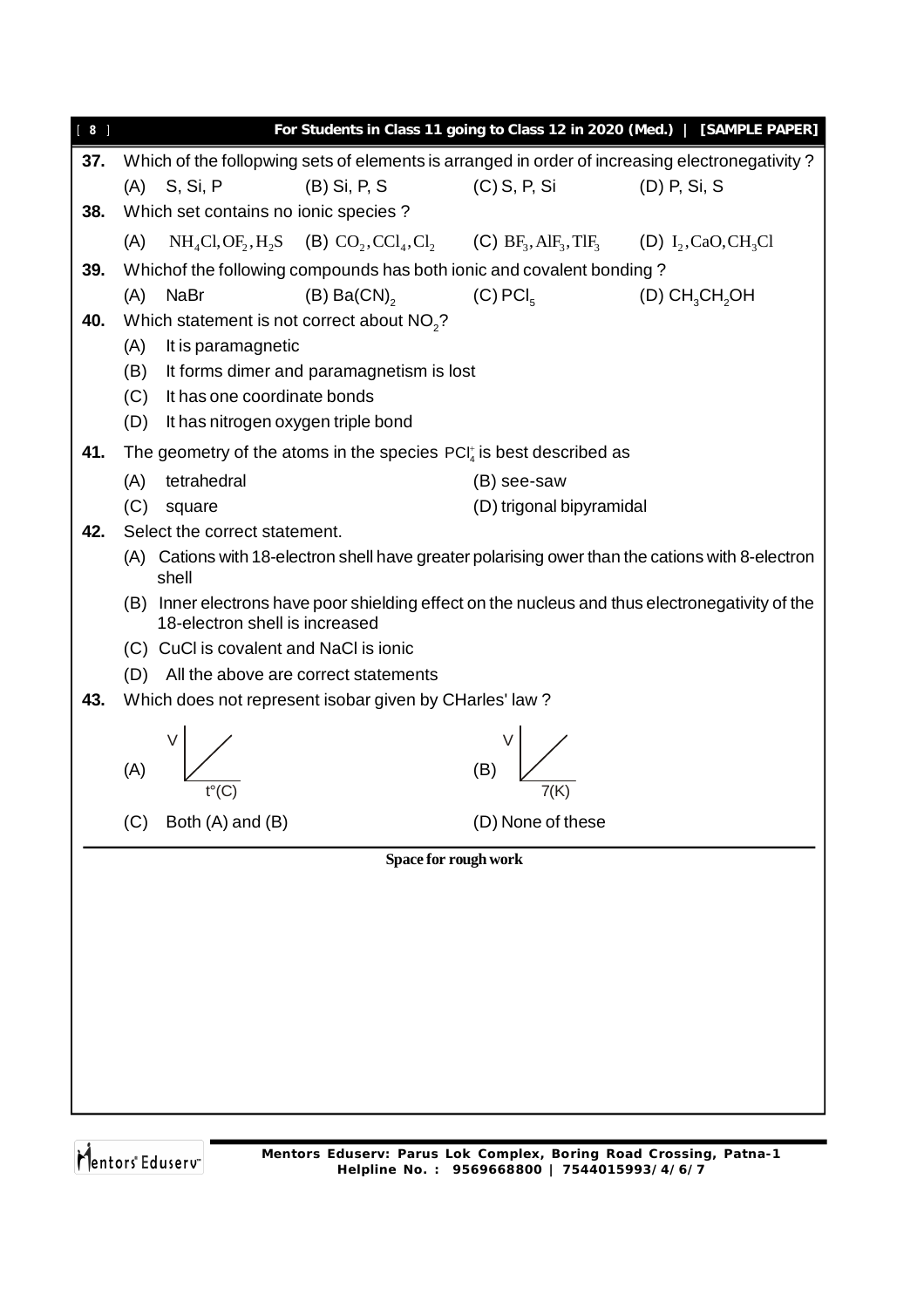| $[ 8 ]$ |                                                                                                   |                          | For Students in Class 11 going to Class 12 in 2020 (Med.)   [SAMPLE PAPER] |
|---------|---------------------------------------------------------------------------------------------------|--------------------------|----------------------------------------------------------------------------|
| 37.     | Which of the follopwing sets of elements is arranged in order of increasing electronegativity?    |                          |                                                                            |
|         | $(A)$ S, Si, P<br>(B) Si, P, S                                                                    | $(C)$ S, P, Si           | (D) P, Si, S                                                               |
| 38.     | Which set contains no ionic species?                                                              |                          |                                                                            |
|         | $NH_4Cl, OF_2, H_2S$ (B) $CO_2, CCl_4, Cl_2$ (C) $BF_3, AH_3, TH_3$ (D) $I_2, CaO, CH_3Cl$<br>(A) |                          |                                                                            |
| 39.     | Whichof the following compounds has both ionic and covalent bonding?                              |                          |                                                                            |
|         | $(B) Ba(CN)$ <sub>2</sub> (C) PCI <sub>5</sub><br>(A)<br>NaBr                                     |                          | (D) $CH_3CH_2OH$                                                           |
| 40.     | Which statement is not correct about NO <sub>2</sub> ?                                            |                          |                                                                            |
|         | It is paramagnetic<br>(A)                                                                         |                          |                                                                            |
|         | It forms dimer and paramagnetism is lost<br>(B)                                                   |                          |                                                                            |
|         | (C) It has one coordinate bonds                                                                   |                          |                                                                            |
|         | (D) It has nitrogen oxygen triple bond                                                            |                          |                                                                            |
| 41.     | The geometry of the atoms in the species $PCI_4^*$ is best described as                           |                          |                                                                            |
|         | tetrahedral<br>(A)                                                                                | (B) see-saw              |                                                                            |
| 42.     | (C)<br>square<br>Select the correct statement.                                                    | (D) trigonal bipyramidal |                                                                            |
|         | (A) Cations with 18-electron shell have greater polarising ower than the cations with 8-electron  |                          |                                                                            |
|         | shell                                                                                             |                          |                                                                            |
|         | (B) Inner electrons have poor shielding effect on the nucleus and thus electronegativity of the   |                          |                                                                            |
|         | 18-electron shell is increased                                                                    |                          |                                                                            |
|         | (C) CuCl is covalent and NaCl is ionic                                                            |                          |                                                                            |
|         | (D) All the above are correct statements                                                          |                          |                                                                            |
| 43.     | Which does not represent isobar given by CHarles' law?                                            |                          |                                                                            |
|         |                                                                                                   |                          |                                                                            |
|         | (A)                                                                                               | (B)                      |                                                                            |
|         |                                                                                                   |                          |                                                                            |
|         | Both (A) and (B)<br>(C)                                                                           | (D) None of these        |                                                                            |
|         | Space for rough work                                                                              |                          |                                                                            |
|         |                                                                                                   |                          |                                                                            |
|         |                                                                                                   |                          |                                                                            |
|         |                                                                                                   |                          |                                                                            |
|         |                                                                                                   |                          |                                                                            |
|         |                                                                                                   |                          |                                                                            |
|         |                                                                                                   |                          |                                                                            |
|         |                                                                                                   |                          |                                                                            |
|         |                                                                                                   |                          |                                                                            |
|         |                                                                                                   |                          |                                                                            |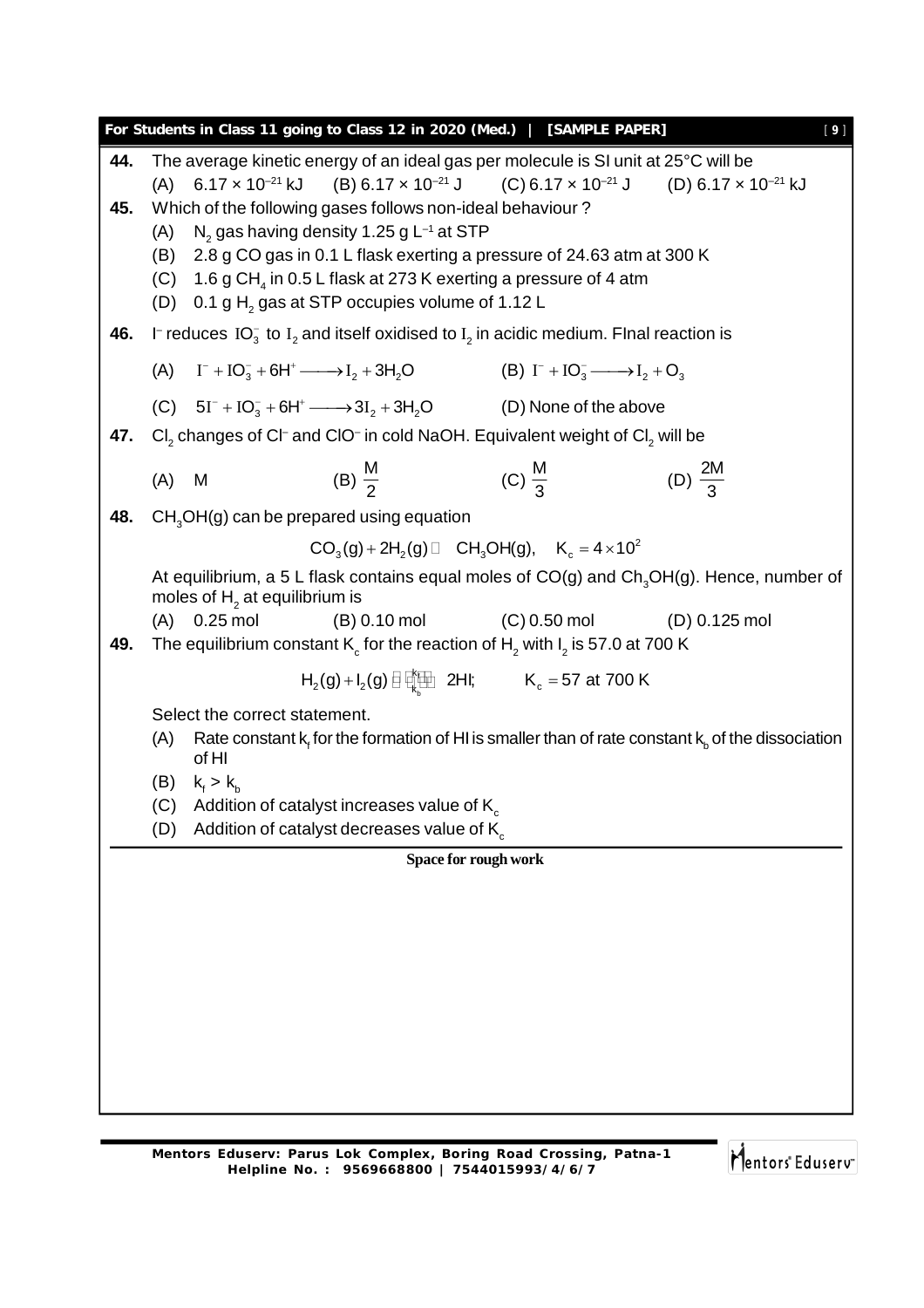**Space for rough work For Students in Class 11 going to Class 12 in 2020 (Med.) | [SAMPLE PAPER]** [ **9** ] **44.** The average kinetic energy of an ideal gas per molecule is SI unit at 25°C will be (A)  $6.17 \times 10^{-21}$  kJ  $(B) 6.17 \times 10^{-21}$  J  $(C) 6.17 \times 10^{-21}$  J  $(D) 6.17 \times 10^{-21}$  kJ **45.** Which of the following gases follows non-ideal behaviour ?  $(A)$  $N<sub>2</sub>$  gas having density 1.25 g L<sup>-1</sup> at STP (B) 2.8 g CO gas in 0.1 L flask exerting a pressure of 24.63 atm at 300 K (C)  $-1.6$  g CH $_{\textrm{\tiny{4}}}$  in 0.5 L flask at 273 K exerting a pressure of 4 atm (D)  $\,$  0.1 g  $\rm H_{_2}$  gas at STP occupies volume of 1.12 L **46.** I<sup>-</sup> reduces IO<sub>3</sub> to I<sub>2</sub> and itself oxidised to I<sub>2</sub> in acidic medium. FInal reaction is (A)  $I^- + IO_3^- + 6H^+ \longrightarrow I_2 + 3H_2O$  (B) I  $I^{-} + IO_{3}^{-} \longrightarrow I_{2} + O_{3}$ (C)  $5I^{-} + IO_{3}^{-} + 6H^{+} \longrightarrow 3I_{2} + 3H_{2}O$  (D) None of the above **47.**  $\left| \text{Cl}_2 \right|$  changes of Cl<sup>–</sup> and ClO<sup>–</sup> in cold NaOH. Equivalent weight of Cl<sub>2</sub> will be  $(A)$  M M 2 (C) M  $\frac{1}{3}$  (D) 2M 3 **48.** CH<sub>3</sub>OH(g) can be prepared using equation  $CO_3(g) + 2H_2(g) \Box$  CH<sub>3</sub>OH(g),  $K_c = 4 \times 10^2$ At equilibrium, a 5 L flask contains equal moles of  $CO(g)$  and  $Ch<sub>3</sub>OH(g)$ . Hence, number of moles of  $\mathsf{H}_2^{}$  at equilibrium is (A) 0.25 mol (B) 0.10 mol (C) 0.50 mol (D) 0.125 mol **49.** The equilibrium constant K $_{\rm c}$  for the reaction of H $_{\rm 2}$  with I $_{\rm 2}$  is 57.0 at 700 K f b k  ${\sf H}_2({\sf g})$  +  ${\sf I}_2({\sf g})\boxplus\bigoplus\limits_{\sf k_p}\boxplus\,$  2HI;  ${\sf K}_{_{\sf C}}$  = 57 at 700 K Select the correct statement. (A) Rate constant  $\sf k_{\sf f}$  for the formation of HI is smaller than of rate constant  $\sf k_{\sf_b}$  of the dissociation of HI (B)  $k_f > k_b$ (C) Addition of catalyst increases value of  $K_c$ (D) Addition of catalyst decreases value of  $K_c$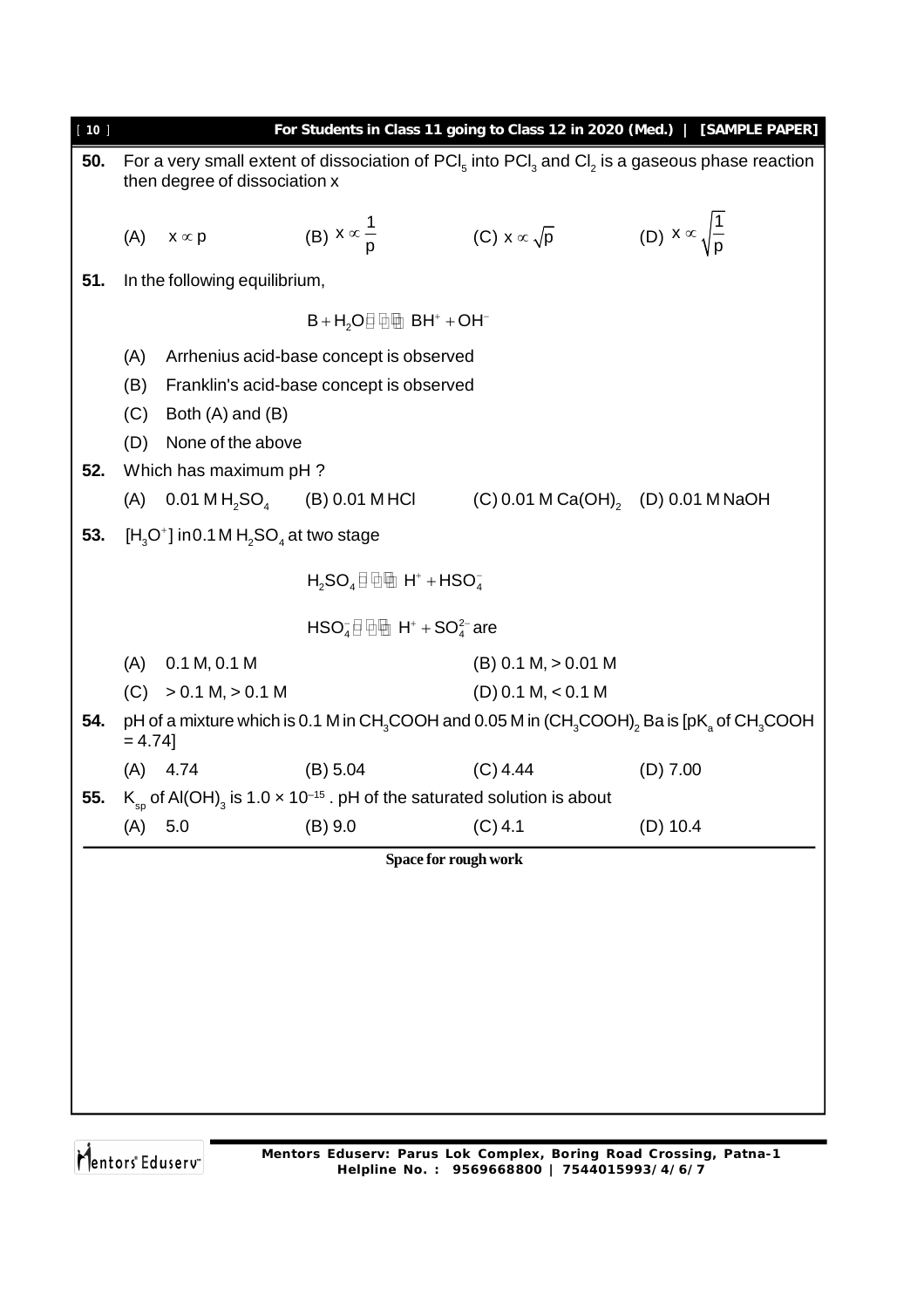| [10] |                                                 |                                            |                                                                                                               |                                       | For Students in Class 11 going to Class 12 in 2020 (Med.)   [SAMPLE PAPER]                                                         |  |  |  |  |  |
|------|-------------------------------------------------|--------------------------------------------|---------------------------------------------------------------------------------------------------------------|---------------------------------------|------------------------------------------------------------------------------------------------------------------------------------|--|--|--|--|--|
| 50.  |                                                 |                                            |                                                                                                               |                                       | For a very small extent of dissociation of $\text{PCI}_5$ into $\text{PCI}_3$ and $\text{CI}_2$ is a gaseous phase reaction        |  |  |  |  |  |
|      |                                                 | then degree of dissociation x              |                                                                                                               |                                       |                                                                                                                                    |  |  |  |  |  |
|      |                                                 |                                            |                                                                                                               |                                       |                                                                                                                                    |  |  |  |  |  |
|      | (A)                                             | $x \propto p$                              | (B) $x \propto \frac{1}{p}$                                                                                   | (C) $x \propto \sqrt{p}$              | (D) $x \propto \sqrt{\frac{1}{p}}$                                                                                                 |  |  |  |  |  |
| 51.  |                                                 | In the following equilibrium,              |                                                                                                               |                                       |                                                                                                                                    |  |  |  |  |  |
|      |                                                 |                                            | $B + H2$ O $\Box$ $\Box$ $\Box$ $\Box$ $B$ $H+ + OH-$                                                         |                                       |                                                                                                                                    |  |  |  |  |  |
|      |                                                 |                                            |                                                                                                               |                                       |                                                                                                                                    |  |  |  |  |  |
|      | (A)                                             |                                            | Arrhenius acid-base concept is observed                                                                       |                                       |                                                                                                                                    |  |  |  |  |  |
|      | (B)<br>Franklin's acid-base concept is observed |                                            |                                                                                                               |                                       |                                                                                                                                    |  |  |  |  |  |
|      | (C)                                             | Both $(A)$ and $(B)$                       |                                                                                                               |                                       |                                                                                                                                    |  |  |  |  |  |
|      | (D)                                             | None of the above                          |                                                                                                               |                                       |                                                                                                                                    |  |  |  |  |  |
| 52.  |                                                 | Which has maximum pH?                      |                                                                                                               |                                       |                                                                                                                                    |  |  |  |  |  |
|      |                                                 |                                            | (A) $0.01 \text{ M H}_2\text{SO}_4$ (B) 0.01 MHCl                                                             | $(C) 0.01 M Ca(OH)$ , (D) 0.01 M NaOH |                                                                                                                                    |  |  |  |  |  |
| 53.  |                                                 | $[H_3O^+]$ in 0.1 M $H_2SO_4$ at two stage |                                                                                                               |                                       |                                                                                                                                    |  |  |  |  |  |
|      | $H_2SO_4 \Box$ $\Box$ $H^+ + HSO_4^-$           |                                            |                                                                                                               |                                       |                                                                                                                                    |  |  |  |  |  |
|      |                                                 |                                            | $HSO4$ $\oplus$ $\oplus$ $H+$ + SO <sup>2-</sup> are                                                          |                                       |                                                                                                                                    |  |  |  |  |  |
|      | (A)                                             | 0.1 M, 0.1 M                               |                                                                                                               | $(B)$ 0.1 M, $> 0.01$ M               |                                                                                                                                    |  |  |  |  |  |
|      | (C)                                             | $> 0.1 M$ , $> 0.1 M$                      |                                                                                                               | $(D)$ 0.1 M, < 0.1 M                  |                                                                                                                                    |  |  |  |  |  |
| 54.  | $= 4.74$ ]                                      |                                            |                                                                                                               |                                       | pH of a mixture which is 0.1 M in CH <sub>3</sub> COOH and 0.05 M in $(CH_3COOH)_2$ Ba is [pK <sub>a</sub> of CH <sub>3</sub> COOH |  |  |  |  |  |
|      |                                                 | $(A)$ 4.74                                 | (B) 5.04                                                                                                      | $(C)$ 4.44                            | $(D)$ 7.00                                                                                                                         |  |  |  |  |  |
| 55.  |                                                 |                                            | $K_{\rm so}$ of Al(OH) <sub>3</sub> is 1.0 $\times$ 10 <sup>-15</sup> . pH of the saturated solution is about |                                       |                                                                                                                                    |  |  |  |  |  |
|      | (A)                                             | 5.0                                        | (B) 9.0                                                                                                       | $(C)$ 4.1                             | $(D)$ 10.4                                                                                                                         |  |  |  |  |  |
|      |                                                 |                                            | Space for rough work                                                                                          |                                       |                                                                                                                                    |  |  |  |  |  |
|      |                                                 |                                            |                                                                                                               |                                       |                                                                                                                                    |  |  |  |  |  |
|      |                                                 |                                            |                                                                                                               |                                       |                                                                                                                                    |  |  |  |  |  |
|      |                                                 |                                            |                                                                                                               |                                       |                                                                                                                                    |  |  |  |  |  |
|      |                                                 |                                            |                                                                                                               |                                       |                                                                                                                                    |  |  |  |  |  |
|      |                                                 |                                            |                                                                                                               |                                       |                                                                                                                                    |  |  |  |  |  |
|      |                                                 |                                            |                                                                                                               |                                       |                                                                                                                                    |  |  |  |  |  |
|      |                                                 |                                            |                                                                                                               |                                       |                                                                                                                                    |  |  |  |  |  |
|      |                                                 |                                            |                                                                                                               |                                       |                                                                                                                                    |  |  |  |  |  |
|      |                                                 |                                            |                                                                                                               |                                       |                                                                                                                                    |  |  |  |  |  |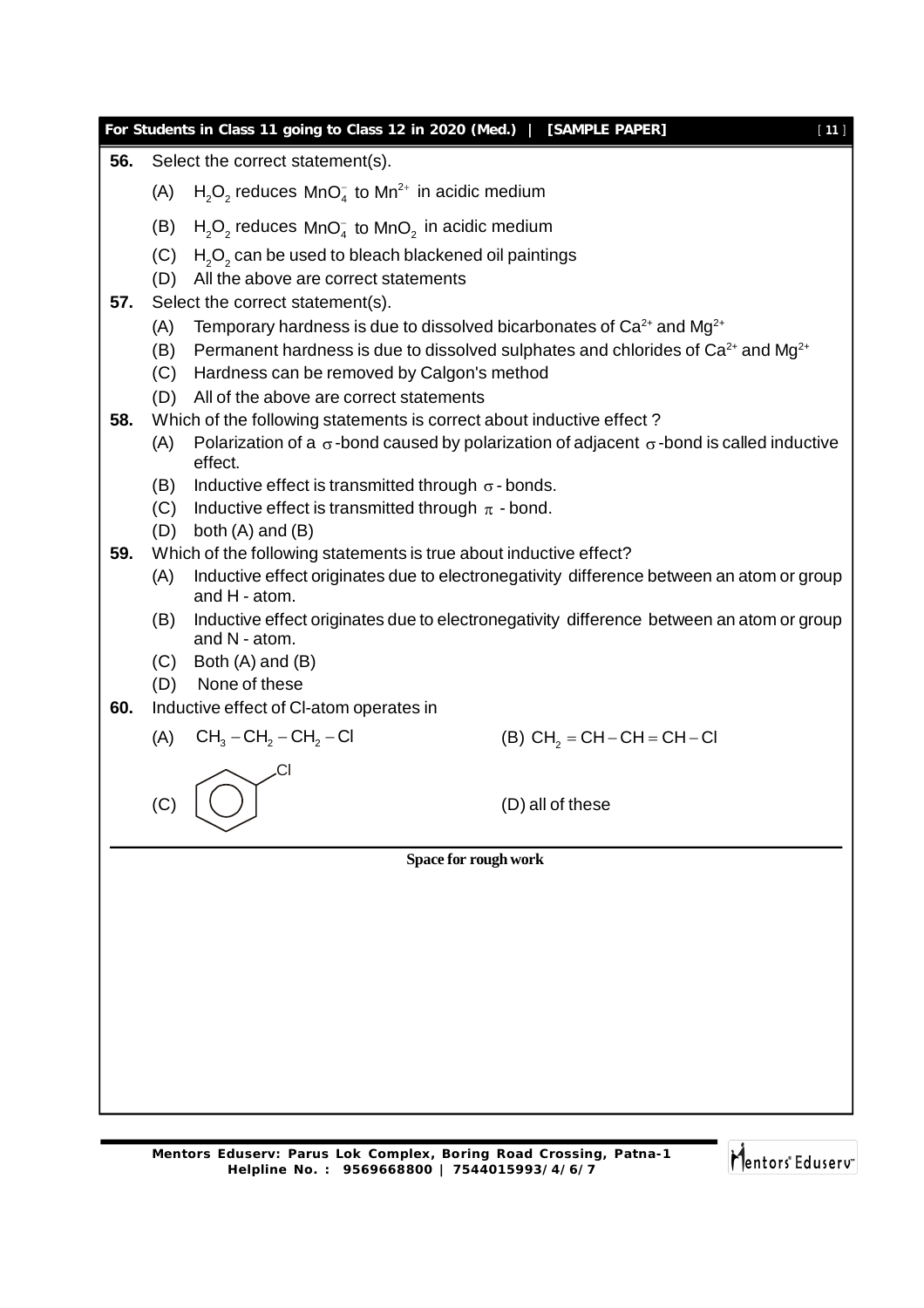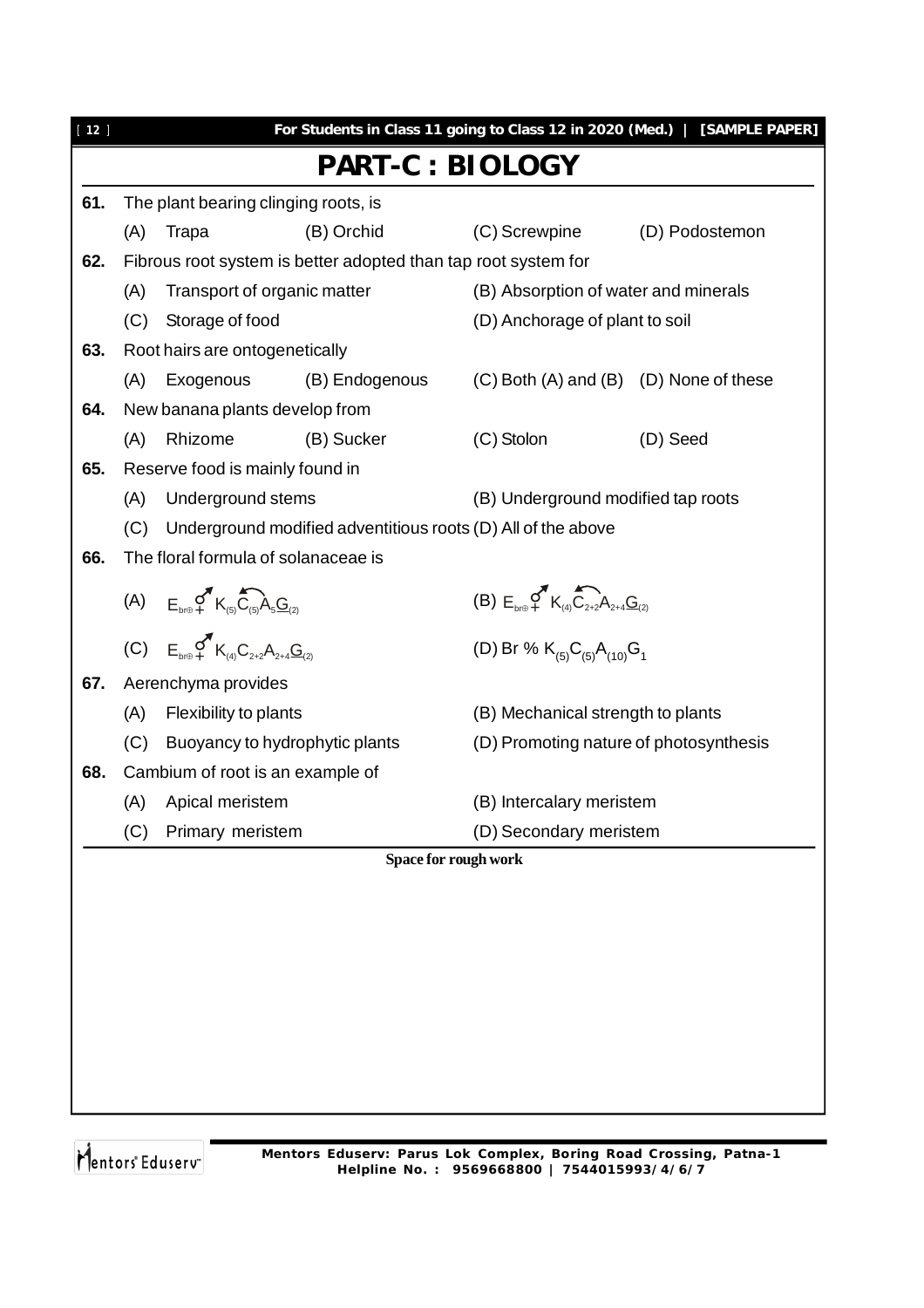| $[12]$ |     |                                                                                                                    |                                                                |                                                                                                                   | For Students in Class 11 going to Class 12 in 2020 (Med.)   [SAMPLE PAPER] |  |  |  |
|--------|-----|--------------------------------------------------------------------------------------------------------------------|----------------------------------------------------------------|-------------------------------------------------------------------------------------------------------------------|----------------------------------------------------------------------------|--|--|--|
|        |     |                                                                                                                    | <b>PART-C : BIOLOGY</b>                                        |                                                                                                                   |                                                                            |  |  |  |
| 61.    |     | The plant bearing clinging roots, is                                                                               |                                                                |                                                                                                                   |                                                                            |  |  |  |
|        | (A) | Trapa                                                                                                              | (B) Orchid                                                     | (C) Screwpine                                                                                                     | (D) Podostemon                                                             |  |  |  |
| 62.    |     |                                                                                                                    | Fibrous root system is better adopted than tap root system for |                                                                                                                   |                                                                            |  |  |  |
|        | (A) | Transport of organic matter                                                                                        |                                                                | (B) Absorption of water and minerals                                                                              |                                                                            |  |  |  |
|        | (C) | Storage of food                                                                                                    |                                                                | (D) Anchorage of plant to soil                                                                                    |                                                                            |  |  |  |
| 63.    |     | Root hairs are ontogenetically                                                                                     |                                                                |                                                                                                                   |                                                                            |  |  |  |
|        | (A) | Exogenous                                                                                                          | (B) Endogenous                                                 | (C) Both (A) and (B) (D) None of these                                                                            |                                                                            |  |  |  |
| 64.    |     | New banana plants develop from                                                                                     |                                                                |                                                                                                                   |                                                                            |  |  |  |
|        | (A) | Rhizome                                                                                                            | (B) Sucker                                                     | (C) Stolon                                                                                                        | (D) Seed                                                                   |  |  |  |
| 65.    |     | Reserve food is mainly found in                                                                                    |                                                                |                                                                                                                   |                                                                            |  |  |  |
|        | (A) | Underground stems                                                                                                  |                                                                | (B) Underground modified tap roots                                                                                |                                                                            |  |  |  |
|        | (C) |                                                                                                                    | Underground modified adventitious roots (D) All of the above   |                                                                                                                   |                                                                            |  |  |  |
| 66.    |     | The floral formula of solanaceae is                                                                                |                                                                |                                                                                                                   |                                                                            |  |  |  |
|        |     | (A) $E_{b r \oplus 4}$ $K_{(5)} G_{(5)} A_{5} G_{(2)}$<br>(C) $E_{b r \oplus 4}$ $K_{(4)} C_{2+2} A_{2+4} G_{(2)}$ |                                                                | (B) $E_{\text{hfl}} \subset \bigcap_{+}^{\infty} K_{(4)} \cap \bigcap_{2+2}^{\infty} A_{2+4} \underline{G}_{(2)}$ |                                                                            |  |  |  |
|        |     |                                                                                                                    |                                                                | (D) Br % $K_{(5)}C_{(5)}A_{(10)}G_1$                                                                              |                                                                            |  |  |  |
| 67.    |     | Aerenchyma provides                                                                                                |                                                                |                                                                                                                   |                                                                            |  |  |  |
|        | (A) | Flexibility to plants                                                                                              |                                                                | (B) Mechanical strength to plants                                                                                 |                                                                            |  |  |  |
|        | (C) |                                                                                                                    | Buoyancy to hydrophytic plants                                 | (D) Promoting nature of photosynthesis                                                                            |                                                                            |  |  |  |
| 68.    |     | Cambium of root is an example of                                                                                   |                                                                |                                                                                                                   |                                                                            |  |  |  |
|        | (A) | Apical meristem                                                                                                    |                                                                | (B) Intercalary meristem                                                                                          |                                                                            |  |  |  |
|        | (C) | Primary meristem                                                                                                   |                                                                | (D) Secondary meristem                                                                                            |                                                                            |  |  |  |
|        |     |                                                                                                                    |                                                                | Space for rough work                                                                                              |                                                                            |  |  |  |
|        |     |                                                                                                                    |                                                                |                                                                                                                   |                                                                            |  |  |  |
|        |     |                                                                                                                    |                                                                |                                                                                                                   |                                                                            |  |  |  |
|        |     |                                                                                                                    |                                                                |                                                                                                                   |                                                                            |  |  |  |
|        |     |                                                                                                                    |                                                                |                                                                                                                   |                                                                            |  |  |  |
|        |     |                                                                                                                    |                                                                |                                                                                                                   |                                                                            |  |  |  |
|        |     |                                                                                                                    |                                                                |                                                                                                                   |                                                                            |  |  |  |
|        |     |                                                                                                                    |                                                                |                                                                                                                   |                                                                            |  |  |  |
|        |     |                                                                                                                    |                                                                |                                                                                                                   |                                                                            |  |  |  |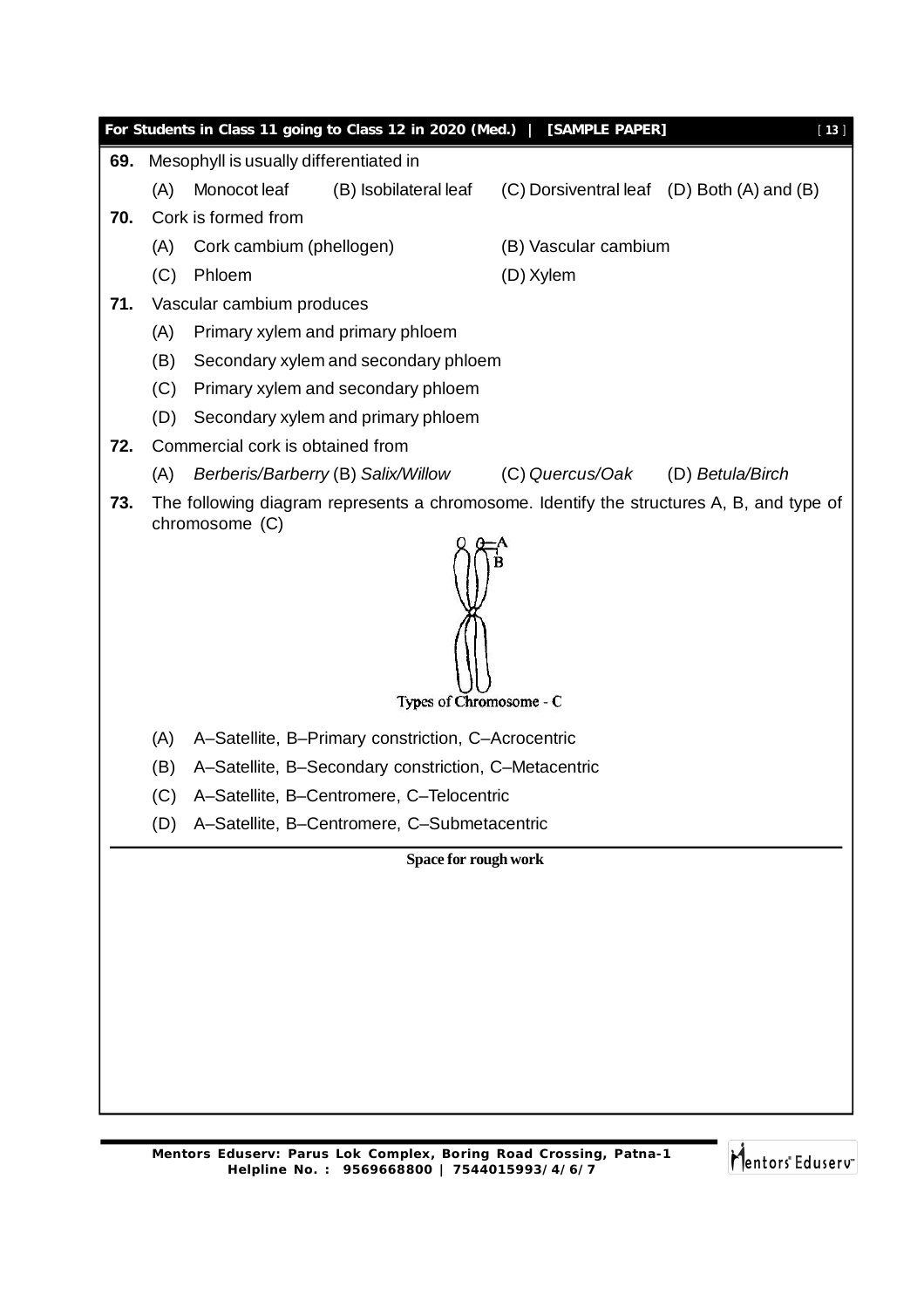|     |                                           |                                        | For Students in Class 11 going to Class 12 in 2020 (Med.)   [SAMPLE PAPER]              |                                  | $[13]$                                                                                   |  |  |  |  |  |
|-----|-------------------------------------------|----------------------------------------|-----------------------------------------------------------------------------------------|----------------------------------|------------------------------------------------------------------------------------------|--|--|--|--|--|
| 69. |                                           | Mesophyll is usually differentiated in |                                                                                         |                                  |                                                                                          |  |  |  |  |  |
|     | (A)                                       | Monocot leaf                           | (B) Isobilateral leaf                                                                   |                                  | (C) Dorsiventral leaf (D) Both (A) and (B)                                               |  |  |  |  |  |
| 70. |                                           | Cork is formed from                    |                                                                                         |                                  |                                                                                          |  |  |  |  |  |
|     | (A)                                       | Cork cambium (phellogen)               |                                                                                         | (B) Vascular cambium             |                                                                                          |  |  |  |  |  |
|     | (C)                                       | Phloem                                 |                                                                                         | (D) Xylem                        |                                                                                          |  |  |  |  |  |
| 71. |                                           | Vascular cambium produces              |                                                                                         |                                  |                                                                                          |  |  |  |  |  |
|     | (A)                                       |                                        | Primary xylem and primary phloem                                                        |                                  |                                                                                          |  |  |  |  |  |
|     | (B)                                       | Secondary xylem and secondary phloem   |                                                                                         |                                  |                                                                                          |  |  |  |  |  |
|     | (C)<br>Primary xylem and secondary phloem |                                        |                                                                                         |                                  |                                                                                          |  |  |  |  |  |
|     | (D)                                       |                                        | Secondary xylem and primary phloem                                                      |                                  |                                                                                          |  |  |  |  |  |
| 72. |                                           | Commercial cork is obtained from       |                                                                                         |                                  |                                                                                          |  |  |  |  |  |
|     | (A)                                       |                                        | Berberis/Barberry (B) Salix/Willow                                                      | (C) Quercus/Oak (D) Betula/Birch |                                                                                          |  |  |  |  |  |
| 73. |                                           | chromosome (C)                         |                                                                                         |                                  | The following diagram represents a chromosome. Identify the structures A, B, and type of |  |  |  |  |  |
|     | Types of Chromosome - C                   |                                        |                                                                                         |                                  |                                                                                          |  |  |  |  |  |
|     | (A)                                       |                                        | A-Satellite, B-Primary constriction, C-Acrocentric                                      |                                  |                                                                                          |  |  |  |  |  |
|     | (B)                                       |                                        | A-Satellite, B-Secondary constriction, C-Metacentric                                    |                                  |                                                                                          |  |  |  |  |  |
|     | (C)                                       |                                        | A-Satellite, B-Centromere, C-Telocentric<br>A-Satellite, B-Centromere, C-Submetacentric |                                  |                                                                                          |  |  |  |  |  |
|     | (D)                                       |                                        |                                                                                         |                                  |                                                                                          |  |  |  |  |  |
|     |                                           |                                        | Space for rough work                                                                    |                                  |                                                                                          |  |  |  |  |  |
|     |                                           |                                        |                                                                                         |                                  |                                                                                          |  |  |  |  |  |
|     |                                           |                                        |                                                                                         |                                  |                                                                                          |  |  |  |  |  |
|     |                                           |                                        |                                                                                         |                                  |                                                                                          |  |  |  |  |  |
|     |                                           |                                        |                                                                                         |                                  |                                                                                          |  |  |  |  |  |
|     |                                           |                                        |                                                                                         |                                  |                                                                                          |  |  |  |  |  |
|     |                                           |                                        |                                                                                         |                                  |                                                                                          |  |  |  |  |  |
|     |                                           |                                        |                                                                                         |                                  |                                                                                          |  |  |  |  |  |
|     |                                           |                                        |                                                                                         |                                  |                                                                                          |  |  |  |  |  |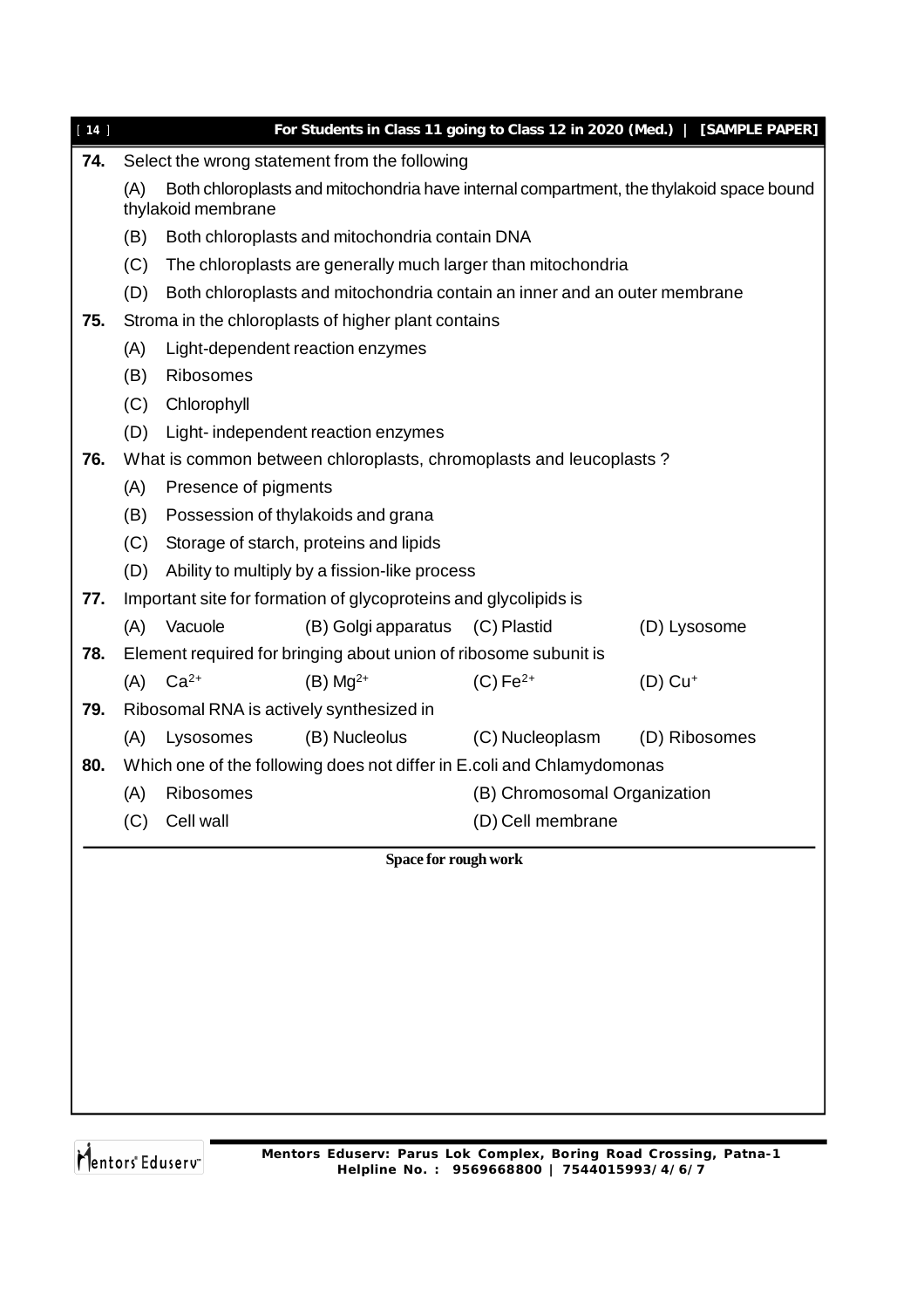| 74.<br>Select the wrong statement from the following<br>Both chloroplasts and mitochondria have internal compartment, the thylakoid space bound<br>(A)<br>thylakoid membrane<br>(B)<br>Both chloroplasts and mitochondria contain DNA<br>(C)<br>The chloroplasts are generally much larger than mitochondria<br>(D)<br>Both chloroplasts and mitochondria contain an inner and an outer membrane<br>75.<br>Stroma in the chloroplasts of higher plant contains<br>Light-dependent reaction enzymes<br>(A)<br>(B)<br>Ribosomes<br>(C)<br>Chlorophyll<br>(D)<br>Light-independent reaction enzymes<br>76.<br>What is common between chloroplasts, chromoplasts and leucoplasts? |                       |  |  |  |  |  |  |  |  |
|-------------------------------------------------------------------------------------------------------------------------------------------------------------------------------------------------------------------------------------------------------------------------------------------------------------------------------------------------------------------------------------------------------------------------------------------------------------------------------------------------------------------------------------------------------------------------------------------------------------------------------------------------------------------------------|-----------------------|--|--|--|--|--|--|--|--|
|                                                                                                                                                                                                                                                                                                                                                                                                                                                                                                                                                                                                                                                                               |                       |  |  |  |  |  |  |  |  |
|                                                                                                                                                                                                                                                                                                                                                                                                                                                                                                                                                                                                                                                                               |                       |  |  |  |  |  |  |  |  |
|                                                                                                                                                                                                                                                                                                                                                                                                                                                                                                                                                                                                                                                                               |                       |  |  |  |  |  |  |  |  |
|                                                                                                                                                                                                                                                                                                                                                                                                                                                                                                                                                                                                                                                                               |                       |  |  |  |  |  |  |  |  |
|                                                                                                                                                                                                                                                                                                                                                                                                                                                                                                                                                                                                                                                                               |                       |  |  |  |  |  |  |  |  |
|                                                                                                                                                                                                                                                                                                                                                                                                                                                                                                                                                                                                                                                                               |                       |  |  |  |  |  |  |  |  |
|                                                                                                                                                                                                                                                                                                                                                                                                                                                                                                                                                                                                                                                                               |                       |  |  |  |  |  |  |  |  |
|                                                                                                                                                                                                                                                                                                                                                                                                                                                                                                                                                                                                                                                                               |                       |  |  |  |  |  |  |  |  |
|                                                                                                                                                                                                                                                                                                                                                                                                                                                                                                                                                                                                                                                                               |                       |  |  |  |  |  |  |  |  |
|                                                                                                                                                                                                                                                                                                                                                                                                                                                                                                                                                                                                                                                                               |                       |  |  |  |  |  |  |  |  |
|                                                                                                                                                                                                                                                                                                                                                                                                                                                                                                                                                                                                                                                                               |                       |  |  |  |  |  |  |  |  |
| (A)<br>Presence of pigments                                                                                                                                                                                                                                                                                                                                                                                                                                                                                                                                                                                                                                                   |                       |  |  |  |  |  |  |  |  |
| Possession of thylakoids and grana<br>(B)                                                                                                                                                                                                                                                                                                                                                                                                                                                                                                                                                                                                                                     |                       |  |  |  |  |  |  |  |  |
| (C)<br>Storage of starch, proteins and lipids                                                                                                                                                                                                                                                                                                                                                                                                                                                                                                                                                                                                                                 |                       |  |  |  |  |  |  |  |  |
| (D)<br>Ability to multiply by a fission-like process                                                                                                                                                                                                                                                                                                                                                                                                                                                                                                                                                                                                                          |                       |  |  |  |  |  |  |  |  |
| Important site for formation of glycoproteins and glycolipids is<br>77.                                                                                                                                                                                                                                                                                                                                                                                                                                                                                                                                                                                                       |                       |  |  |  |  |  |  |  |  |
| Vacuole<br>(B) Golgi apparatus (C) Plastid<br>(A)                                                                                                                                                                                                                                                                                                                                                                                                                                                                                                                                                                                                                             | (D) Lysosome          |  |  |  |  |  |  |  |  |
| 78.<br>Element required for bringing about union of ribosome subunit is                                                                                                                                                                                                                                                                                                                                                                                                                                                                                                                                                                                                       |                       |  |  |  |  |  |  |  |  |
| $Ca2+$<br>$(C) Fe2+$<br>(A)<br>$(B)$ Mg <sup>2+</sup>                                                                                                                                                                                                                                                                                                                                                                                                                                                                                                                                                                                                                         | $(D)$ Cu <sup>+</sup> |  |  |  |  |  |  |  |  |
| 79.<br>Ribosomal RNA is actively synthesized in                                                                                                                                                                                                                                                                                                                                                                                                                                                                                                                                                                                                                               |                       |  |  |  |  |  |  |  |  |
| (B) Nucleolus<br>(C) Nucleoplasm<br>(A)<br>Lysosomes                                                                                                                                                                                                                                                                                                                                                                                                                                                                                                                                                                                                                          | (D) Ribosomes         |  |  |  |  |  |  |  |  |
| Which one of the following does not differ in E.coli and Chlamydomonas<br>80.                                                                                                                                                                                                                                                                                                                                                                                                                                                                                                                                                                                                 |                       |  |  |  |  |  |  |  |  |
| Ribosomes<br>(B) Chromosomal Organization<br>(A)                                                                                                                                                                                                                                                                                                                                                                                                                                                                                                                                                                                                                              |                       |  |  |  |  |  |  |  |  |
| Cell wall<br>(D) Cell membrane<br>(C)                                                                                                                                                                                                                                                                                                                                                                                                                                                                                                                                                                                                                                         |                       |  |  |  |  |  |  |  |  |
| Space for rough work                                                                                                                                                                                                                                                                                                                                                                                                                                                                                                                                                                                                                                                          |                       |  |  |  |  |  |  |  |  |
|                                                                                                                                                                                                                                                                                                                                                                                                                                                                                                                                                                                                                                                                               |                       |  |  |  |  |  |  |  |  |
|                                                                                                                                                                                                                                                                                                                                                                                                                                                                                                                                                                                                                                                                               |                       |  |  |  |  |  |  |  |  |
|                                                                                                                                                                                                                                                                                                                                                                                                                                                                                                                                                                                                                                                                               |                       |  |  |  |  |  |  |  |  |
|                                                                                                                                                                                                                                                                                                                                                                                                                                                                                                                                                                                                                                                                               |                       |  |  |  |  |  |  |  |  |
|                                                                                                                                                                                                                                                                                                                                                                                                                                                                                                                                                                                                                                                                               |                       |  |  |  |  |  |  |  |  |
|                                                                                                                                                                                                                                                                                                                                                                                                                                                                                                                                                                                                                                                                               |                       |  |  |  |  |  |  |  |  |
|                                                                                                                                                                                                                                                                                                                                                                                                                                                                                                                                                                                                                                                                               |                       |  |  |  |  |  |  |  |  |
|                                                                                                                                                                                                                                                                                                                                                                                                                                                                                                                                                                                                                                                                               |                       |  |  |  |  |  |  |  |  |
|                                                                                                                                                                                                                                                                                                                                                                                                                                                                                                                                                                                                                                                                               |                       |  |  |  |  |  |  |  |  |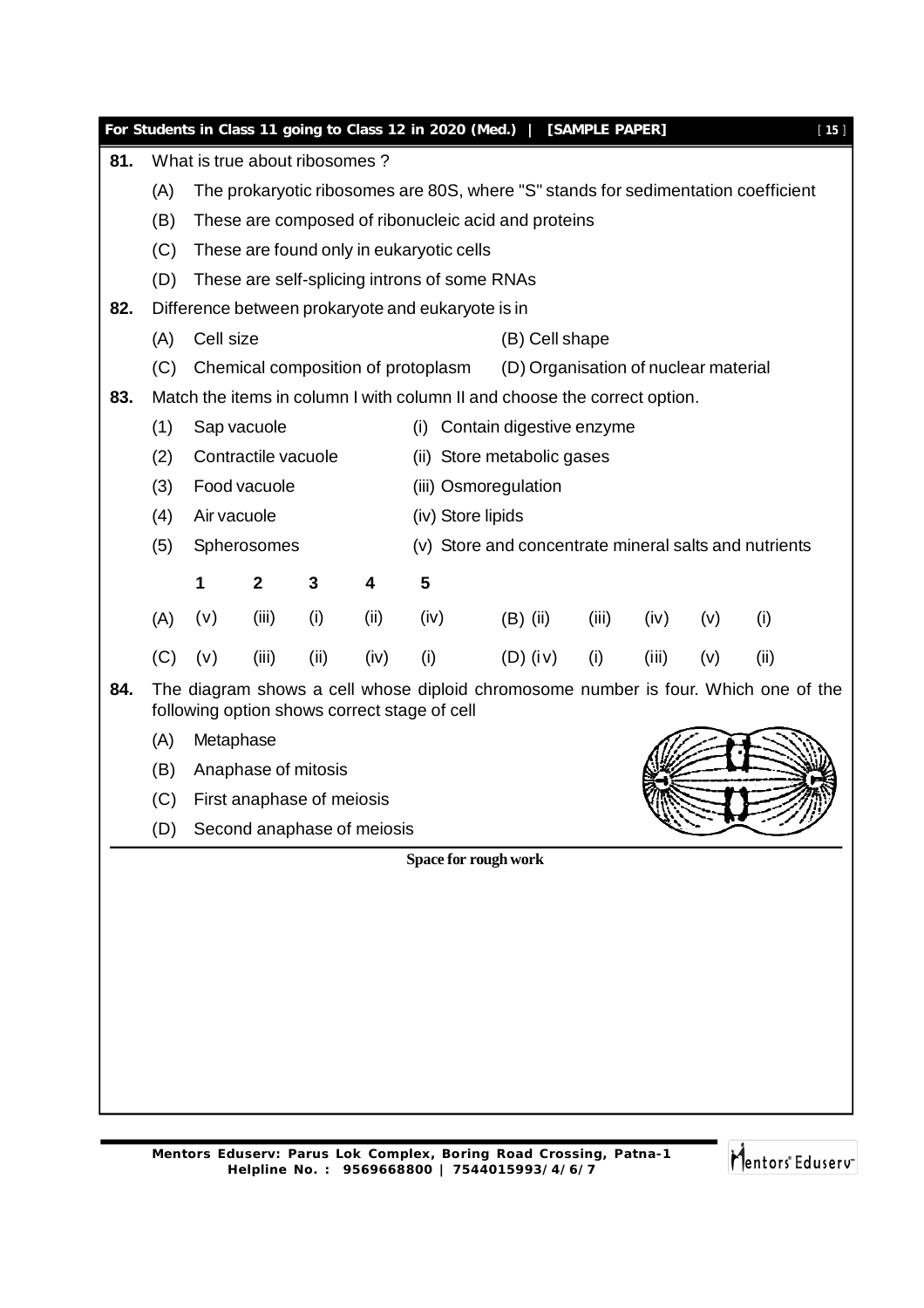|     |     |                                                                                                                          |                                                                                                                                          |      |                                              |      | For Students in Class 11 going to Class 12 in 2020 (Med.)                          |            | [SAMPLE PAPER] |       |     |      | $[15]$ |
|-----|-----|--------------------------------------------------------------------------------------------------------------------------|------------------------------------------------------------------------------------------------------------------------------------------|------|----------------------------------------------|------|------------------------------------------------------------------------------------|------------|----------------|-------|-----|------|--------|
| 81. |     | What is true about ribosomes?                                                                                            |                                                                                                                                          |      |                                              |      |                                                                                    |            |                |       |     |      |        |
|     | (A) |                                                                                                                          | The prokaryotic ribosomes are 80S, where "S" stands for sedimentation coefficient<br>These are composed of ribonucleic acid and proteins |      |                                              |      |                                                                                    |            |                |       |     |      |        |
|     | (B) |                                                                                                                          |                                                                                                                                          |      |                                              |      |                                                                                    |            |                |       |     |      |        |
|     | (C) |                                                                                                                          |                                                                                                                                          |      |                                              |      | These are found only in eukaryotic cells                                           |            |                |       |     |      |        |
|     | (D) |                                                                                                                          | These are self-splicing introns of some RNAs                                                                                             |      |                                              |      |                                                                                    |            |                |       |     |      |        |
| 82. |     |                                                                                                                          | Difference between prokaryote and eukaryote is in                                                                                        |      |                                              |      |                                                                                    |            |                |       |     |      |        |
|     | (A) |                                                                                                                          | Cell size<br>(B) Cell shape                                                                                                              |      |                                              |      |                                                                                    |            |                |       |     |      |        |
|     | (C) | (D) Organisation of nuclear material<br>Chemical composition of protoplasm                                               |                                                                                                                                          |      |                                              |      |                                                                                    |            |                |       |     |      |        |
| 83. |     | Match the items in column I with column II and choose the correct option.<br>Sap vacuole<br>(i) Contain digestive enzyme |                                                                                                                                          |      |                                              |      |                                                                                    |            |                |       |     |      |        |
|     | (1) |                                                                                                                          |                                                                                                                                          |      |                                              |      |                                                                                    |            |                |       |     |      |        |
|     | (2) |                                                                                                                          | Contractile vacuole                                                                                                                      |      |                                              |      | (ii) Store metabolic gases                                                         |            |                |       |     |      |        |
|     | (3) |                                                                                                                          | Food vacuole                                                                                                                             |      |                                              |      | (iii) Osmoregulation                                                               |            |                |       |     |      |        |
|     | (4) | Air vacuole                                                                                                              |                                                                                                                                          |      |                                              |      | (iv) Store lipids                                                                  |            |                |       |     |      |        |
|     | (5) |                                                                                                                          | Spherosomes                                                                                                                              |      |                                              |      | (v) Store and concentrate mineral salts and nutrients                              |            |                |       |     |      |        |
|     |     | 1                                                                                                                        | $\mathbf{2}$                                                                                                                             | 3    | 4                                            | 5    |                                                                                    |            |                |       |     |      |        |
|     | (A) | (v)                                                                                                                      | (iii)                                                                                                                                    | (i)  | (ii)                                         | (iv) | $(B)$ (ii)                                                                         |            | (iii)          | (iv)  | (v) | (i)  |        |
|     | (C) | (v)                                                                                                                      | (iii)                                                                                                                                    | (ii) | (iv)                                         | (i)  |                                                                                    | $(D)$ (iv) | (i)            | (iii) | (v) | (ii) |        |
| 84. |     |                                                                                                                          |                                                                                                                                          |      | following option shows correct stage of cell |      | The diagram shows a cell whose diploid chromosome number is four. Which one of the |            |                |       |     |      |        |
|     | (A) | Metaphase                                                                                                                |                                                                                                                                          |      |                                              |      |                                                                                    |            |                |       |     |      |        |
|     | (B) |                                                                                                                          | Anaphase of mitosis                                                                                                                      |      |                                              |      |                                                                                    |            |                |       |     |      |        |
|     | (C) |                                                                                                                          | First anaphase of meiosis                                                                                                                |      |                                              |      |                                                                                    |            |                |       |     |      |        |
|     | (D) |                                                                                                                          |                                                                                                                                          |      | Second anaphase of meiosis                   |      |                                                                                    |            |                |       |     |      |        |
|     |     |                                                                                                                          |                                                                                                                                          |      |                                              |      | Space for rough work                                                               |            |                |       |     |      |        |
|     |     |                                                                                                                          |                                                                                                                                          |      |                                              |      |                                                                                    |            |                |       |     |      |        |
|     |     |                                                                                                                          |                                                                                                                                          |      |                                              |      |                                                                                    |            |                |       |     |      |        |
|     |     |                                                                                                                          |                                                                                                                                          |      |                                              |      |                                                                                    |            |                |       |     |      |        |
|     |     |                                                                                                                          |                                                                                                                                          |      |                                              |      |                                                                                    |            |                |       |     |      |        |
|     |     |                                                                                                                          |                                                                                                                                          |      |                                              |      |                                                                                    |            |                |       |     |      |        |
|     |     |                                                                                                                          |                                                                                                                                          |      |                                              |      |                                                                                    |            |                |       |     |      |        |
|     |     |                                                                                                                          |                                                                                                                                          |      |                                              |      |                                                                                    |            |                |       |     |      |        |
|     |     |                                                                                                                          |                                                                                                                                          |      |                                              |      |                                                                                    |            |                |       |     |      |        |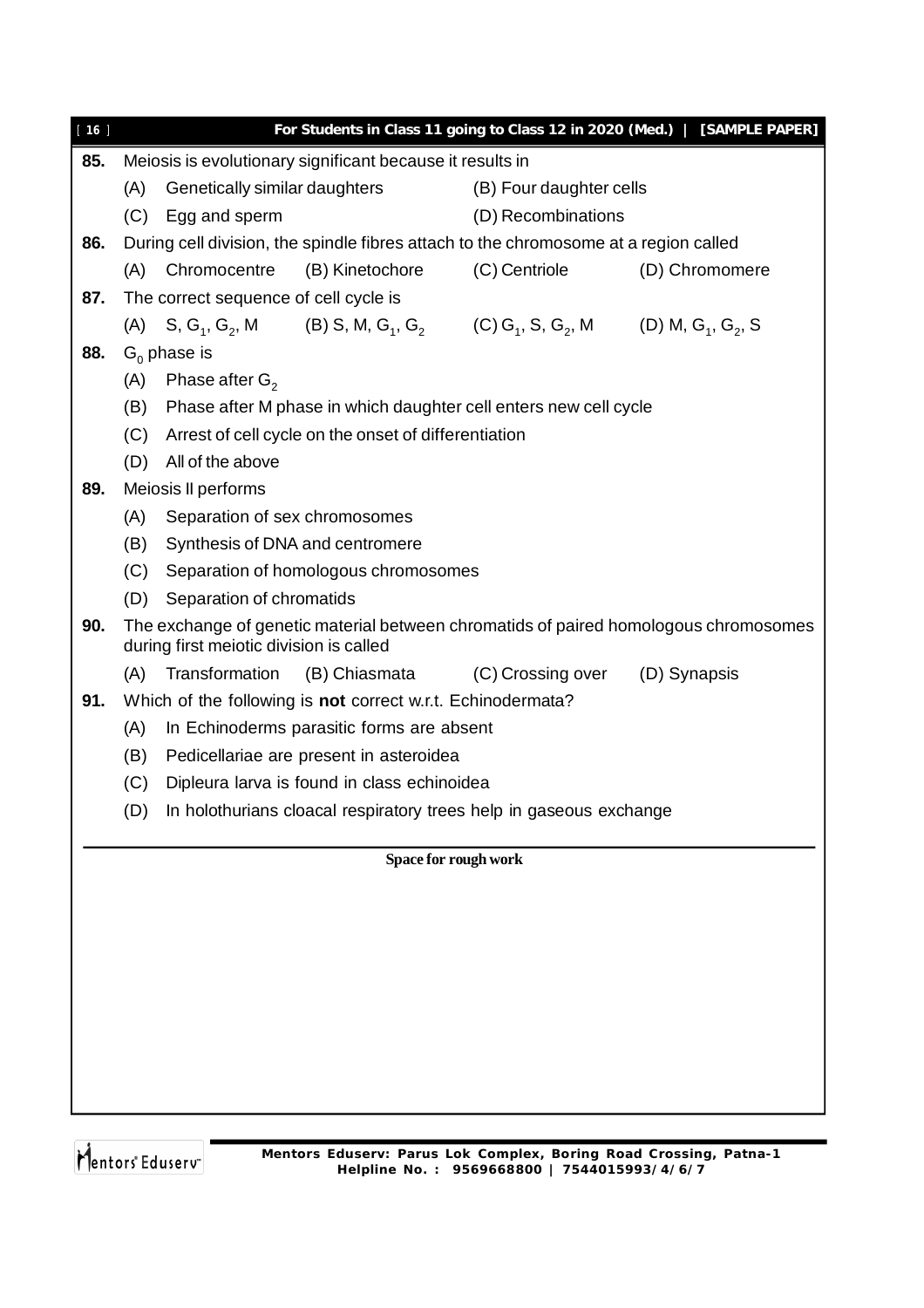| $[16]$ |     |                                                                                                                                 |                                                             | For Students in Class 11 going to Class 12 in 2020 (Med.)                                                                                                                  | [SAMPLE PAPER] |  |  |  |
|--------|-----|---------------------------------------------------------------------------------------------------------------------------------|-------------------------------------------------------------|----------------------------------------------------------------------------------------------------------------------------------------------------------------------------|----------------|--|--|--|
| 85.    |     |                                                                                                                                 | Meiosis is evolutionary significant because it results in   |                                                                                                                                                                            |                |  |  |  |
|        | (A) | Genetically similar daughters                                                                                                   |                                                             | (B) Four daughter cells                                                                                                                                                    |                |  |  |  |
|        |     | (C) Egg and sperm                                                                                                               |                                                             | (D) Recombinations                                                                                                                                                         |                |  |  |  |
| 86.    |     | During cell division, the spindle fibres attach to the chromosome at a region called                                            |                                                             |                                                                                                                                                                            |                |  |  |  |
|        |     | (A) Chromocentre                                                                                                                | (B) Kinetochore                                             | (C) Centriole                                                                                                                                                              | (D) Chromomere |  |  |  |
| 87.    |     | The correct sequence of cell cycle is                                                                                           |                                                             |                                                                                                                                                                            |                |  |  |  |
|        |     |                                                                                                                                 |                                                             | (A) S, G <sub>1</sub> , G <sub>2</sub> , M (B) S, M, G <sub>1</sub> , G <sub>2</sub> (C) G <sub>1</sub> , S, G <sub>2</sub> , M (D) M, G <sub>1</sub> , G <sub>2</sub> , S |                |  |  |  |
| 88.    |     | $G_0$ phase is                                                                                                                  |                                                             |                                                                                                                                                                            |                |  |  |  |
|        | (A) | Phase after $G_2$                                                                                                               |                                                             |                                                                                                                                                                            |                |  |  |  |
|        | (B) |                                                                                                                                 |                                                             | Phase after M phase in which daughter cell enters new cell cycle                                                                                                           |                |  |  |  |
|        | (C) |                                                                                                                                 | Arrest of cell cycle on the onset of differentiation        |                                                                                                                                                                            |                |  |  |  |
|        | (D) | All of the above                                                                                                                |                                                             |                                                                                                                                                                            |                |  |  |  |
| 89.    |     | Meiosis II performs                                                                                                             |                                                             |                                                                                                                                                                            |                |  |  |  |
|        | (A) | Separation of sex chromosomes                                                                                                   |                                                             |                                                                                                                                                                            |                |  |  |  |
|        | (B) | Synthesis of DNA and centromere                                                                                                 |                                                             |                                                                                                                                                                            |                |  |  |  |
|        | (C) |                                                                                                                                 | Separation of homologous chromosomes                        |                                                                                                                                                                            |                |  |  |  |
|        | (D) | Separation of chromatids                                                                                                        |                                                             |                                                                                                                                                                            |                |  |  |  |
| 90.    |     | The exchange of genetic material between chromatids of paired homologous chromosomes<br>during first meiotic division is called |                                                             |                                                                                                                                                                            |                |  |  |  |
|        | (A) | Transformation                                                                                                                  |                                                             | (B) Chiasmata (C) Crossing over                                                                                                                                            | (D) Synapsis   |  |  |  |
| 91.    |     |                                                                                                                                 | Which of the following is not correct w.r.t. Echinodermata? |                                                                                                                                                                            |                |  |  |  |
|        | (A) |                                                                                                                                 | In Echinoderms parasitic forms are absent                   |                                                                                                                                                                            |                |  |  |  |
|        | (B) |                                                                                                                                 | Pedicellariae are present in asteroidea                     |                                                                                                                                                                            |                |  |  |  |
|        | (C) |                                                                                                                                 | Dipleura larva is found in class echinoidea                 |                                                                                                                                                                            |                |  |  |  |
|        |     |                                                                                                                                 |                                                             | (D) In holothurians cloacal respiratory trees help in gaseous exchange                                                                                                     |                |  |  |  |
|        |     |                                                                                                                                 |                                                             | Space for rough work                                                                                                                                                       |                |  |  |  |
|        |     |                                                                                                                                 |                                                             |                                                                                                                                                                            |                |  |  |  |
|        |     |                                                                                                                                 |                                                             |                                                                                                                                                                            |                |  |  |  |
|        |     |                                                                                                                                 |                                                             |                                                                                                                                                                            |                |  |  |  |
|        |     |                                                                                                                                 |                                                             |                                                                                                                                                                            |                |  |  |  |
|        |     |                                                                                                                                 |                                                             |                                                                                                                                                                            |                |  |  |  |
|        |     |                                                                                                                                 |                                                             |                                                                                                                                                                            |                |  |  |  |
|        |     |                                                                                                                                 |                                                             |                                                                                                                                                                            |                |  |  |  |
|        |     |                                                                                                                                 |                                                             |                                                                                                                                                                            |                |  |  |  |
|        |     |                                                                                                                                 |                                                             |                                                                                                                                                                            |                |  |  |  |
|        |     |                                                                                                                                 |                                                             |                                                                                                                                                                            |                |  |  |  |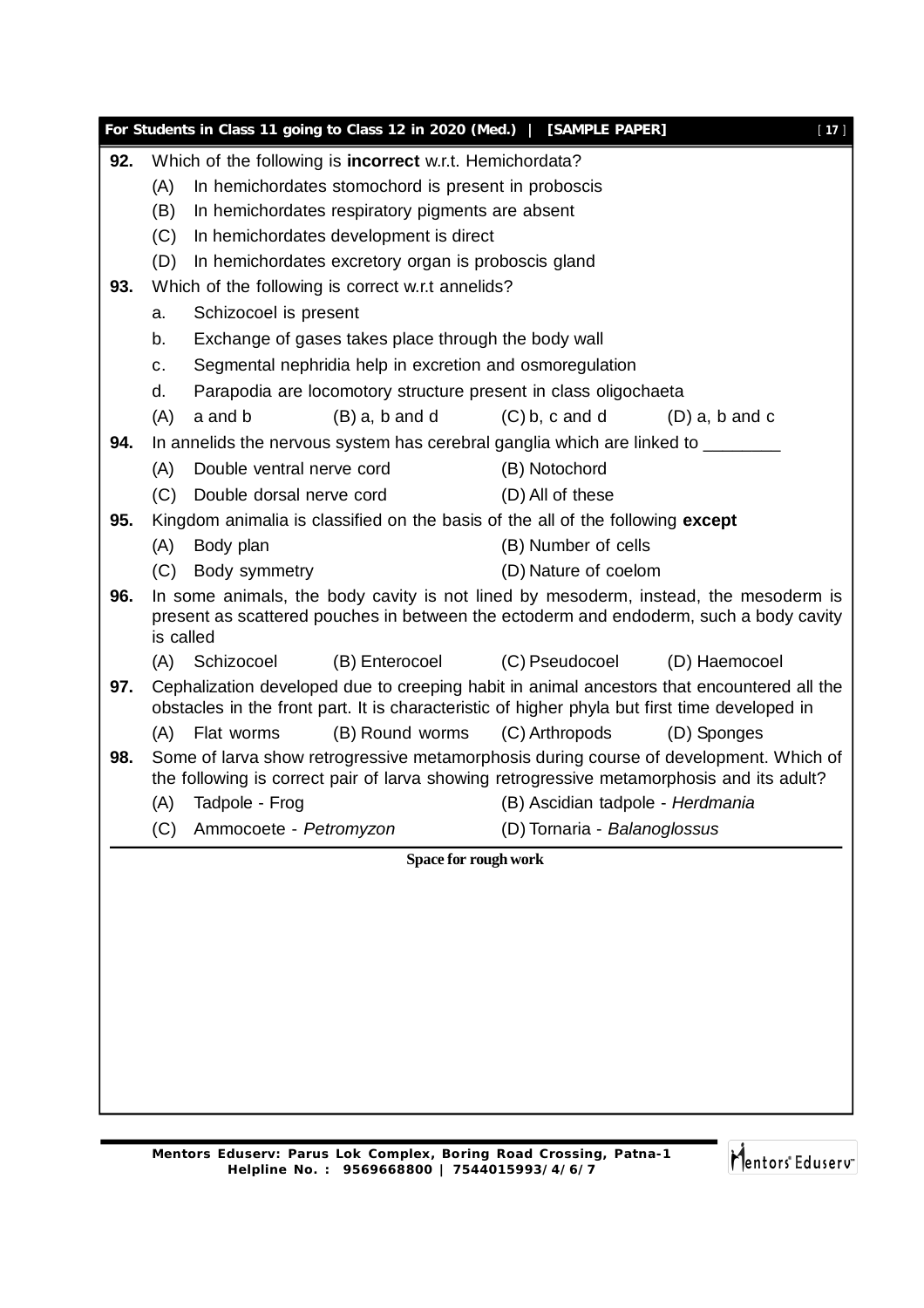|     |                                                                                                    | For Students in Class 11 going to Class 12 in 2020 (Med.)   [SAMPLE PAPER]                    |                                  | $[17]$           |  |  |  |  |
|-----|----------------------------------------------------------------------------------------------------|-----------------------------------------------------------------------------------------------|----------------------------------|------------------|--|--|--|--|
| 92. |                                                                                                    | Which of the following is <b>incorrect</b> w.r.t. Hemichordata?                               |                                  |                  |  |  |  |  |
|     | (A)                                                                                                | In hemichordates stomochord is present in proboscis                                           |                                  |                  |  |  |  |  |
|     | (B)                                                                                                | In hemichordates respiratory pigments are absent                                              |                                  |                  |  |  |  |  |
|     | (C)<br>In hemichordates development is direct                                                      |                                                                                               |                                  |                  |  |  |  |  |
|     | (D)                                                                                                | In hemichordates excretory organ is proboscis gland                                           |                                  |                  |  |  |  |  |
| 93. |                                                                                                    | Which of the following is correct w.r.t annelids?                                             |                                  |                  |  |  |  |  |
|     | Schizocoel is present<br>a.                                                                        |                                                                                               |                                  |                  |  |  |  |  |
|     | b.<br>Exchange of gases takes place through the body wall                                          |                                                                                               |                                  |                  |  |  |  |  |
|     | c.                                                                                                 | Segmental nephridia help in excretion and osmoregulation                                      |                                  |                  |  |  |  |  |
|     | d.                                                                                                 | Parapodia are locomotory structure present in class oligochaeta                               |                                  |                  |  |  |  |  |
|     | (A)                                                                                                | $(B)$ a, b and d<br>a and b                                                                   | $(C)$ b, c and d                 | $(D)$ a, b and c |  |  |  |  |
| 94. |                                                                                                    | In annelids the nervous system has cerebral ganglia which are linked to ________              |                                  |                  |  |  |  |  |
|     | (A)                                                                                                | Double ventral nerve cord                                                                     | (B) Notochord                    |                  |  |  |  |  |
|     | (C)                                                                                                | Double dorsal nerve cord                                                                      | (D) All of these                 |                  |  |  |  |  |
| 95. |                                                                                                    | Kingdom animalia is classified on the basis of the all of the following except                |                                  |                  |  |  |  |  |
|     | (A)                                                                                                | Body plan                                                                                     | (B) Number of cells              |                  |  |  |  |  |
|     | (C)                                                                                                | Body symmetry                                                                                 | (D) Nature of coelom             |                  |  |  |  |  |
| 96. |                                                                                                    | In some animals, the body cavity is not lined by mesoderm, instead, the mesoderm is           |                                  |                  |  |  |  |  |
|     | present as scattered pouches in between the ectoderm and endoderm, such a body cavity<br>is called |                                                                                               |                                  |                  |  |  |  |  |
|     |                                                                                                    | (B) Enterocoel<br>(A) Schizocoel                                                              | (C) Pseudocoel                   | (D) Haemocoel    |  |  |  |  |
| 97. |                                                                                                    | Cephalization developed due to creeping habit in animal ancestors that encountered all the    |                                  |                  |  |  |  |  |
|     |                                                                                                    | obstacles in the front part. It is characteristic of higher phyla but first time developed in |                                  |                  |  |  |  |  |
|     | (A)                                                                                                | (B) Round worms<br>Flat worms                                                                 | (C) Arthropods                   | (D) Sponges      |  |  |  |  |
| 98. |                                                                                                    | Some of larva show retrogressive metamorphosis during course of development. Which of         |                                  |                  |  |  |  |  |
|     |                                                                                                    | the following is correct pair of larva showing retrogressive metamorphosis and its adult?     |                                  |                  |  |  |  |  |
|     | (A)                                                                                                | Tadpole - Frog                                                                                | (B) Ascidian tadpole - Herdmania |                  |  |  |  |  |
|     | (C)                                                                                                | Ammocoete - Petromyzon                                                                        | (D) Tornaria - Balanoglossus     |                  |  |  |  |  |
|     |                                                                                                    | Space for rough work                                                                          |                                  |                  |  |  |  |  |
|     |                                                                                                    |                                                                                               |                                  |                  |  |  |  |  |
|     |                                                                                                    |                                                                                               |                                  |                  |  |  |  |  |
|     |                                                                                                    |                                                                                               |                                  |                  |  |  |  |  |
|     |                                                                                                    |                                                                                               |                                  |                  |  |  |  |  |
|     |                                                                                                    |                                                                                               |                                  |                  |  |  |  |  |
|     |                                                                                                    |                                                                                               |                                  |                  |  |  |  |  |
|     |                                                                                                    |                                                                                               |                                  |                  |  |  |  |  |
|     |                                                                                                    |                                                                                               |                                  |                  |  |  |  |  |
|     |                                                                                                    |                                                                                               |                                  |                  |  |  |  |  |
|     |                                                                                                    |                                                                                               |                                  |                  |  |  |  |  |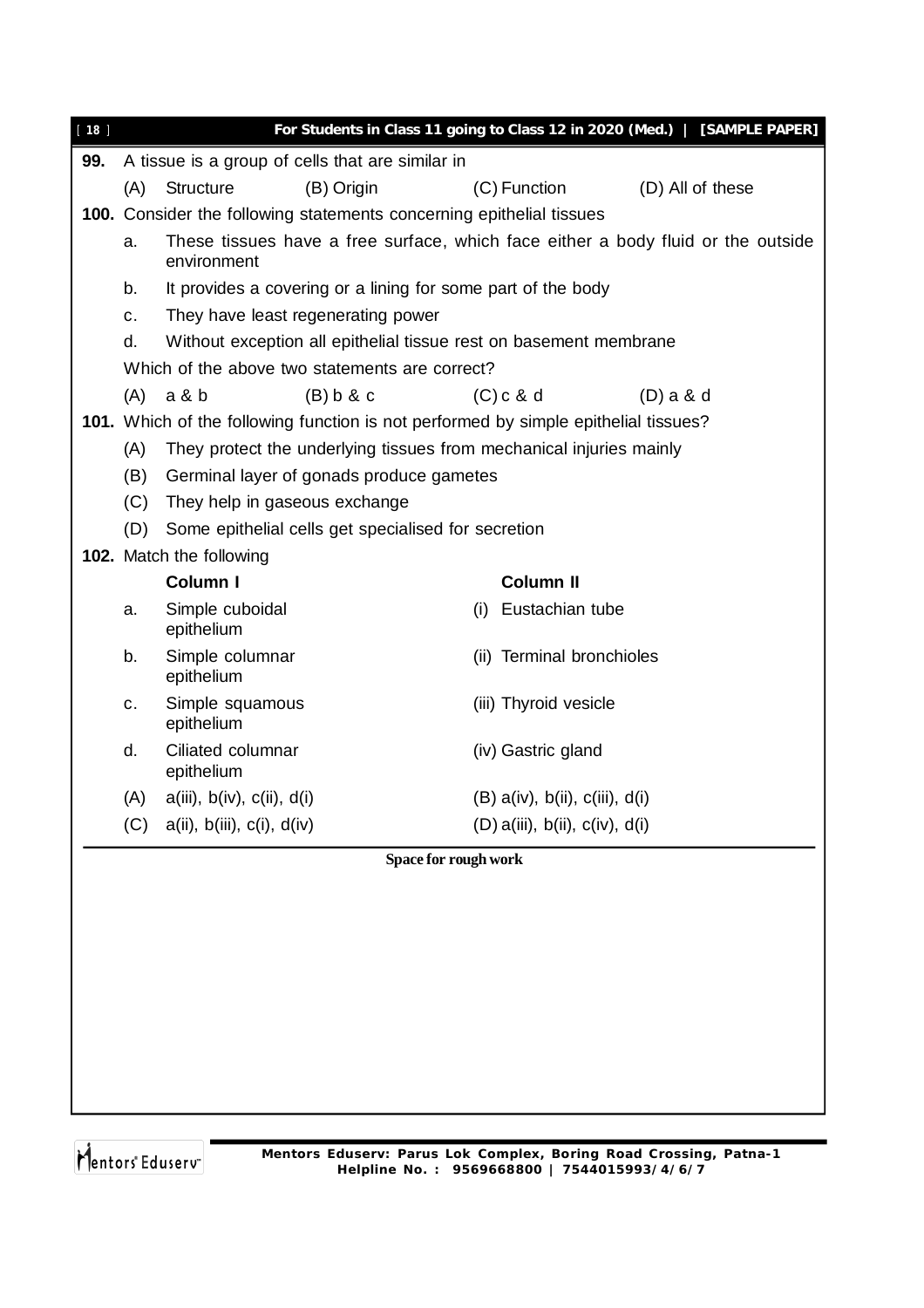|     |                                                                                                 |                                  | For Students in Class 11 going to Class 12 in 2020 (Med.)   [SAMPLE PAPER]                                                                                                                                                                                                                                                                                                                                                                                                                                                                          |  |  |  |  |  |
|-----|-------------------------------------------------------------------------------------------------|----------------------------------|-----------------------------------------------------------------------------------------------------------------------------------------------------------------------------------------------------------------------------------------------------------------------------------------------------------------------------------------------------------------------------------------------------------------------------------------------------------------------------------------------------------------------------------------------------|--|--|--|--|--|
|     |                                                                                                 |                                  |                                                                                                                                                                                                                                                                                                                                                                                                                                                                                                                                                     |  |  |  |  |  |
| (A) | <b>Structure</b><br>(B) Origin                                                                  | (C) Function                     | (D) All of these                                                                                                                                                                                                                                                                                                                                                                                                                                                                                                                                    |  |  |  |  |  |
|     |                                                                                                 |                                  |                                                                                                                                                                                                                                                                                                                                                                                                                                                                                                                                                     |  |  |  |  |  |
| a.  | These tissues have a free surface, which face either a body fluid or the outside<br>environment |                                  |                                                                                                                                                                                                                                                                                                                                                                                                                                                                                                                                                     |  |  |  |  |  |
| b.  | It provides a covering or a lining for some part of the body                                    |                                  |                                                                                                                                                                                                                                                                                                                                                                                                                                                                                                                                                     |  |  |  |  |  |
| C.  | They have least regenerating power                                                              |                                  |                                                                                                                                                                                                                                                                                                                                                                                                                                                                                                                                                     |  |  |  |  |  |
| d.  |                                                                                                 |                                  |                                                                                                                                                                                                                                                                                                                                                                                                                                                                                                                                                     |  |  |  |  |  |
|     |                                                                                                 |                                  |                                                                                                                                                                                                                                                                                                                                                                                                                                                                                                                                                     |  |  |  |  |  |
| (A) | a & b<br>(B) b & c                                                                              | $(C)$ c & d                      | $(D)$ a & d                                                                                                                                                                                                                                                                                                                                                                                                                                                                                                                                         |  |  |  |  |  |
|     |                                                                                                 |                                  |                                                                                                                                                                                                                                                                                                                                                                                                                                                                                                                                                     |  |  |  |  |  |
| (A) |                                                                                                 |                                  |                                                                                                                                                                                                                                                                                                                                                                                                                                                                                                                                                     |  |  |  |  |  |
| (B) |                                                                                                 |                                  |                                                                                                                                                                                                                                                                                                                                                                                                                                                                                                                                                     |  |  |  |  |  |
|     | They help in gaseous exchange                                                                   |                                  |                                                                                                                                                                                                                                                                                                                                                                                                                                                                                                                                                     |  |  |  |  |  |
|     |                                                                                                 |                                  |                                                                                                                                                                                                                                                                                                                                                                                                                                                                                                                                                     |  |  |  |  |  |
|     |                                                                                                 |                                  |                                                                                                                                                                                                                                                                                                                                                                                                                                                                                                                                                     |  |  |  |  |  |
|     | Column I                                                                                        | <b>Column II</b>                 |                                                                                                                                                                                                                                                                                                                                                                                                                                                                                                                                                     |  |  |  |  |  |
| a.  | Simple cuboidal<br>epithelium                                                                   | Eustachian tube<br>(i)           |                                                                                                                                                                                                                                                                                                                                                                                                                                                                                                                                                     |  |  |  |  |  |
| b.  | (ii) Terminal bronchioles<br>Simple columnar<br>epithelium                                      |                                  |                                                                                                                                                                                                                                                                                                                                                                                                                                                                                                                                                     |  |  |  |  |  |
| C.  | Simple squamous<br>epithelium                                                                   | (iii) Thyroid vesicle            |                                                                                                                                                                                                                                                                                                                                                                                                                                                                                                                                                     |  |  |  |  |  |
| d.  | Ciliated columnar<br>epithelium                                                                 | (iv) Gastric gland               |                                                                                                                                                                                                                                                                                                                                                                                                                                                                                                                                                     |  |  |  |  |  |
| (A) | $a(iii)$ , $b(iv)$ , $c(ii)$ , $d(i)$                                                           | $(B)$ a(iv), b(ii), c(iii), d(i) |                                                                                                                                                                                                                                                                                                                                                                                                                                                                                                                                                     |  |  |  |  |  |
| (C) | a(ii), b(iii), c(i), d(iv)                                                                      | $(D)$ a(iii), b(ii), c(iv), d(i) |                                                                                                                                                                                                                                                                                                                                                                                                                                                                                                                                                     |  |  |  |  |  |
|     |                                                                                                 |                                  |                                                                                                                                                                                                                                                                                                                                                                                                                                                                                                                                                     |  |  |  |  |  |
|     |                                                                                                 |                                  |                                                                                                                                                                                                                                                                                                                                                                                                                                                                                                                                                     |  |  |  |  |  |
|     |                                                                                                 |                                  |                                                                                                                                                                                                                                                                                                                                                                                                                                                                                                                                                     |  |  |  |  |  |
|     |                                                                                                 |                                  |                                                                                                                                                                                                                                                                                                                                                                                                                                                                                                                                                     |  |  |  |  |  |
|     |                                                                                                 |                                  |                                                                                                                                                                                                                                                                                                                                                                                                                                                                                                                                                     |  |  |  |  |  |
|     |                                                                                                 |                                  |                                                                                                                                                                                                                                                                                                                                                                                                                                                                                                                                                     |  |  |  |  |  |
|     |                                                                                                 |                                  |                                                                                                                                                                                                                                                                                                                                                                                                                                                                                                                                                     |  |  |  |  |  |
|     |                                                                                                 |                                  |                                                                                                                                                                                                                                                                                                                                                                                                                                                                                                                                                     |  |  |  |  |  |
|     |                                                                                                 |                                  |                                                                                                                                                                                                                                                                                                                                                                                                                                                                                                                                                     |  |  |  |  |  |
|     |                                                                                                 | (C)<br>102. Match the following  | A tissue is a group of cells that are similar in<br><b>100.</b> Consider the following statements concerning epithelial tissues<br>Without exception all epithelial tissue rest on basement membrane<br>Which of the above two statements are correct?<br>101. Which of the following function is not performed by simple epithelial tissues?<br>They protect the underlying tissues from mechanical injuries mainly<br>Germinal layer of gonads produce gametes<br>(D) Some epithelial cells get specialised for secretion<br>Space for rough work |  |  |  |  |  |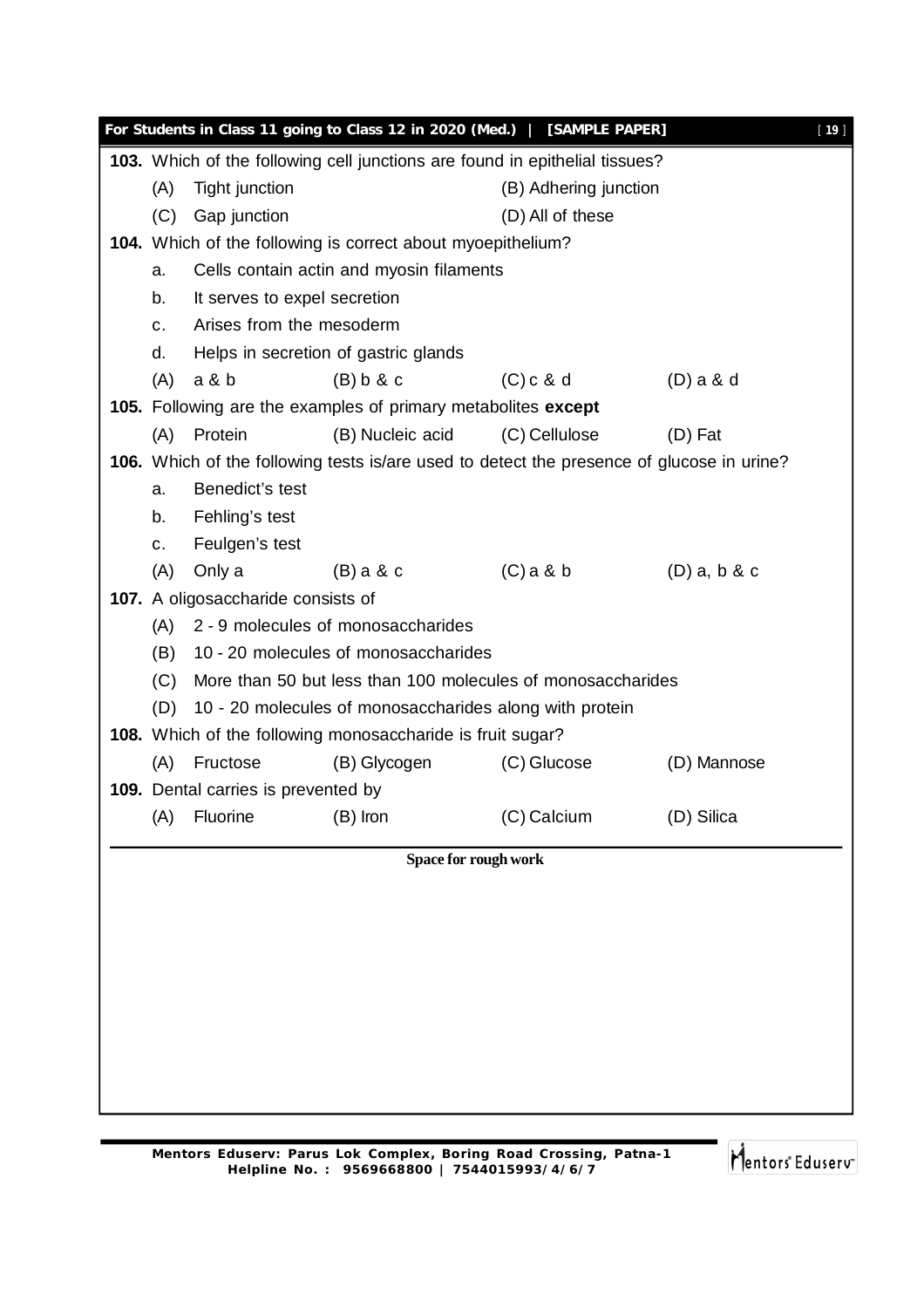|     |                                                                            | For Students in Class 11 going to Class 12 in 2020 (Med.)   [SAMPLE PAPER]                       |                       |                | $[19]$ |  |  |  |
|-----|----------------------------------------------------------------------------|--------------------------------------------------------------------------------------------------|-----------------------|----------------|--------|--|--|--|
|     |                                                                            | 103. Which of the following cell junctions are found in epithelial tissues?                      |                       |                |        |  |  |  |
| (A) | Tight junction                                                             |                                                                                                  | (B) Adhering junction |                |        |  |  |  |
| (C) | Gap junction                                                               |                                                                                                  | (D) All of these      |                |        |  |  |  |
|     | 104. Which of the following is correct about myoepithelium?                |                                                                                                  |                       |                |        |  |  |  |
| a.  | Cells contain actin and myosin filaments                                   |                                                                                                  |                       |                |        |  |  |  |
| b.  | It serves to expel secretion                                               |                                                                                                  |                       |                |        |  |  |  |
| C.  | Arises from the mesoderm                                                   |                                                                                                  |                       |                |        |  |  |  |
| d.  |                                                                            | Helps in secretion of gastric glands                                                             |                       |                |        |  |  |  |
| (A) | a & b                                                                      | (B) b & c                                                                                        | $(C)$ c & d           | $(D)$ a & d    |        |  |  |  |
|     |                                                                            | 105. Following are the examples of primary metabolites except                                    |                       |                |        |  |  |  |
| (A) | Protein                                                                    | (B) Nucleic acid                                                                                 | (C) Cellulose         | $(D)$ Fat      |        |  |  |  |
|     |                                                                            | <b>106.</b> Which of the following tests is/are used to detect the presence of glucose in urine? |                       |                |        |  |  |  |
| a.  | Benedict's test                                                            |                                                                                                  |                       |                |        |  |  |  |
| b.  | Fehling's test                                                             |                                                                                                  |                       |                |        |  |  |  |
| C.  | Feulgen's test                                                             |                                                                                                  |                       |                |        |  |  |  |
| (A) | Only a                                                                     | $(B)$ a & c                                                                                      | $(C)$ a & b           | $(D)$ a, b & c |        |  |  |  |
|     | 107. A oligosaccharide consists of                                         |                                                                                                  |                       |                |        |  |  |  |
| (A) | 2 - 9 molecules of monosaccharides<br>10 - 20 molecules of monosaccharides |                                                                                                  |                       |                |        |  |  |  |
| (B) |                                                                            |                                                                                                  |                       |                |        |  |  |  |
| (C) |                                                                            | More than 50 but less than 100 molecules of monosaccharides                                      |                       |                |        |  |  |  |
| (D) |                                                                            | 10 - 20 molecules of monosaccharides along with protein                                          |                       |                |        |  |  |  |
|     |                                                                            | 108. Which of the following monosaccharide is fruit sugar?                                       |                       |                |        |  |  |  |
| (A) | Fructose                                                                   | (B) Glycogen                                                                                     | (C) Glucose           | (D) Mannose    |        |  |  |  |
|     | 109. Dental carries is prevented by                                        |                                                                                                  |                       |                |        |  |  |  |
| (A) | <b>Fluorine</b>                                                            | $(B)$ Iron                                                                                       | (C) Calcium           | (D) Silica     |        |  |  |  |
|     |                                                                            | Space for rough work                                                                             |                       |                |        |  |  |  |
|     |                                                                            |                                                                                                  |                       |                |        |  |  |  |
|     |                                                                            |                                                                                                  |                       |                |        |  |  |  |
|     |                                                                            |                                                                                                  |                       |                |        |  |  |  |
|     |                                                                            |                                                                                                  |                       |                |        |  |  |  |
|     |                                                                            |                                                                                                  |                       |                |        |  |  |  |
|     |                                                                            |                                                                                                  |                       |                |        |  |  |  |
|     |                                                                            |                                                                                                  |                       |                |        |  |  |  |
|     |                                                                            |                                                                                                  |                       |                |        |  |  |  |
|     |                                                                            |                                                                                                  |                       |                |        |  |  |  |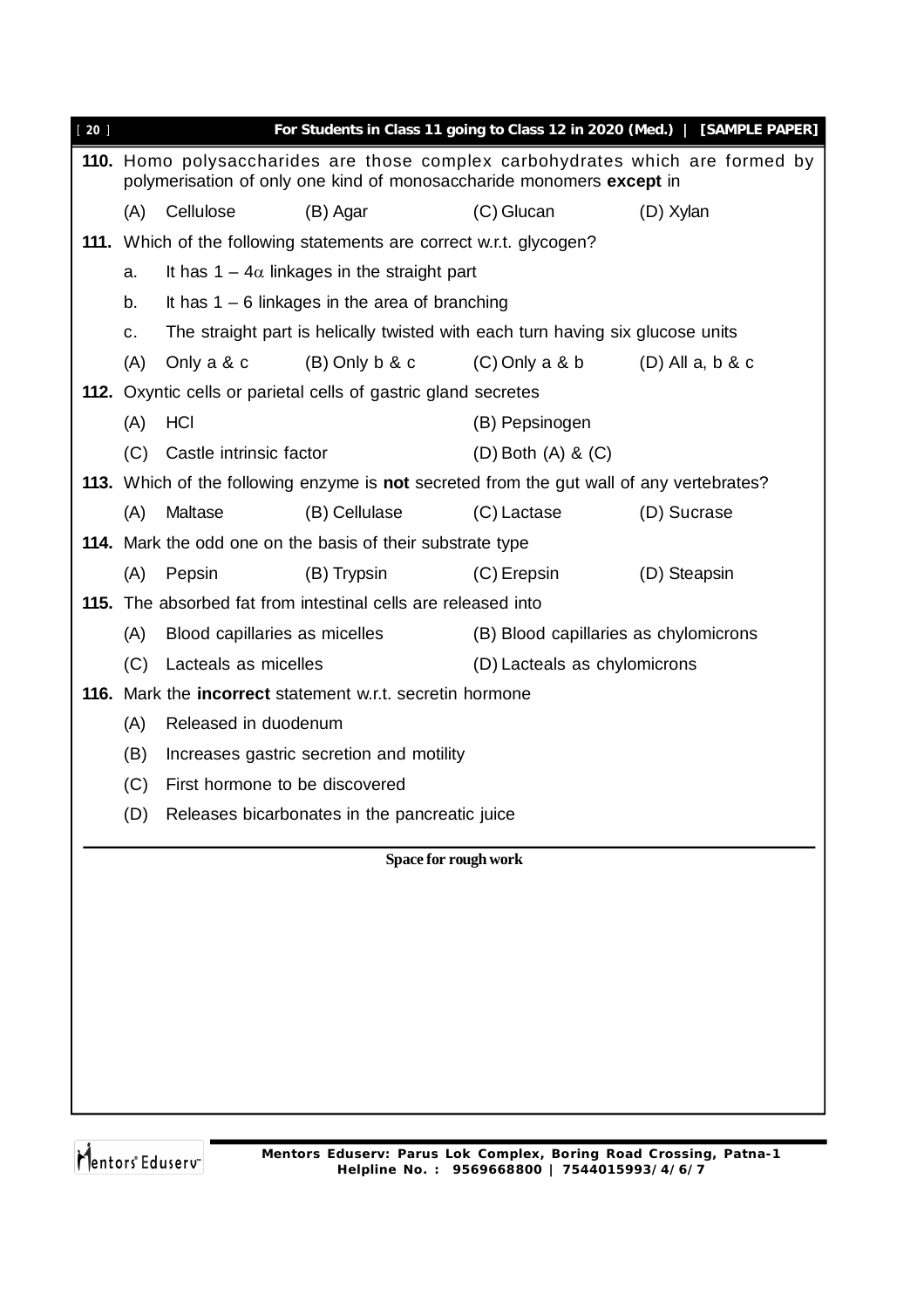| $20$ ] |                                                                     |                                                                                |                                                                  |                                                                                          | For Students in Class 11 going to Class 12 in 2020 (Med.)   [SAMPLE PAPER]    |  |  |  |  |  |
|--------|---------------------------------------------------------------------|--------------------------------------------------------------------------------|------------------------------------------------------------------|------------------------------------------------------------------------------------------|-------------------------------------------------------------------------------|--|--|--|--|--|
|        |                                                                     |                                                                                |                                                                  | polymerisation of only one kind of monosaccharide monomers except in                     | 110. Homo polysaccharides are those complex carbohydrates which are formed by |  |  |  |  |  |
|        | (A)                                                                 | Cellulose                                                                      | (B) Agar                                                         | (C) Glucan                                                                               | (D) Xylan                                                                     |  |  |  |  |  |
|        | 111. Which of the following statements are correct w.r.t. glycogen? |                                                                                |                                                                  |                                                                                          |                                                                               |  |  |  |  |  |
|        | a.                                                                  | It has $1 - 4\alpha$ linkages in the straight part                             |                                                                  |                                                                                          |                                                                               |  |  |  |  |  |
|        | b.                                                                  | It has $1 - 6$ linkages in the area of branching                               |                                                                  |                                                                                          |                                                                               |  |  |  |  |  |
|        | c.                                                                  | The straight part is helically twisted with each turn having six glucose units |                                                                  |                                                                                          |                                                                               |  |  |  |  |  |
|        | (A)                                                                 | Only a & c                                                                     | $(B)$ Only b & c                                                 | $(C)$ Only a & b                                                                         | $(D)$ All a, b & c                                                            |  |  |  |  |  |
|        |                                                                     |                                                                                | 112. Oxyntic cells or parietal cells of gastric gland secretes   |                                                                                          |                                                                               |  |  |  |  |  |
|        | (A)                                                                 | <b>HCI</b>                                                                     |                                                                  | (B) Pepsinogen                                                                           |                                                                               |  |  |  |  |  |
|        | (C)                                                                 | Castle intrinsic factor                                                        |                                                                  | $(D)$ Both $(A)$ & $(C)$                                                                 |                                                                               |  |  |  |  |  |
|        |                                                                     |                                                                                |                                                                  | 113. Which of the following enzyme is not secreted from the gut wall of any vertebrates? |                                                                               |  |  |  |  |  |
|        | (A)                                                                 | Maltase                                                                        | (B) Cellulase                                                    | (C) Lactase                                                                              | (D) Sucrase                                                                   |  |  |  |  |  |
|        |                                                                     |                                                                                | 114. Mark the odd one on the basis of their substrate type       |                                                                                          |                                                                               |  |  |  |  |  |
|        | (A)                                                                 | Pepsin                                                                         | (B) Trypsin                                                      | $(C)$ Erepsin                                                                            | (D) Steapsin                                                                  |  |  |  |  |  |
|        |                                                                     |                                                                                | 115. The absorbed fat from intestinal cells are released into    |                                                                                          |                                                                               |  |  |  |  |  |
|        | (A)                                                                 | Blood capillaries as micelles                                                  |                                                                  |                                                                                          | (B) Blood capillaries as chylomicrons                                         |  |  |  |  |  |
|        | (C)                                                                 | Lacteals as micelles                                                           |                                                                  | (D) Lacteals as chylomicrons                                                             |                                                                               |  |  |  |  |  |
|        |                                                                     |                                                                                | 116. Mark the <b>incorrect</b> statement w.r.t. secretin hormone |                                                                                          |                                                                               |  |  |  |  |  |
|        | (A)                                                                 | Released in duodenum                                                           |                                                                  |                                                                                          |                                                                               |  |  |  |  |  |
|        | (B)                                                                 |                                                                                | Increases gastric secretion and motility                         |                                                                                          |                                                                               |  |  |  |  |  |
|        | (C)                                                                 |                                                                                | First hormone to be discovered                                   |                                                                                          |                                                                               |  |  |  |  |  |
|        |                                                                     |                                                                                | (D) Releases bicarbonates in the pancreatic juice                |                                                                                          |                                                                               |  |  |  |  |  |
|        |                                                                     |                                                                                |                                                                  | <b>Space for rough work</b>                                                              |                                                                               |  |  |  |  |  |
|        |                                                                     |                                                                                |                                                                  |                                                                                          |                                                                               |  |  |  |  |  |
|        |                                                                     |                                                                                |                                                                  |                                                                                          |                                                                               |  |  |  |  |  |
|        |                                                                     |                                                                                |                                                                  |                                                                                          |                                                                               |  |  |  |  |  |
|        |                                                                     |                                                                                |                                                                  |                                                                                          |                                                                               |  |  |  |  |  |
|        |                                                                     |                                                                                |                                                                  |                                                                                          |                                                                               |  |  |  |  |  |
|        |                                                                     |                                                                                |                                                                  |                                                                                          |                                                                               |  |  |  |  |  |
|        |                                                                     |                                                                                |                                                                  |                                                                                          |                                                                               |  |  |  |  |  |
|        |                                                                     |                                                                                |                                                                  |                                                                                          |                                                                               |  |  |  |  |  |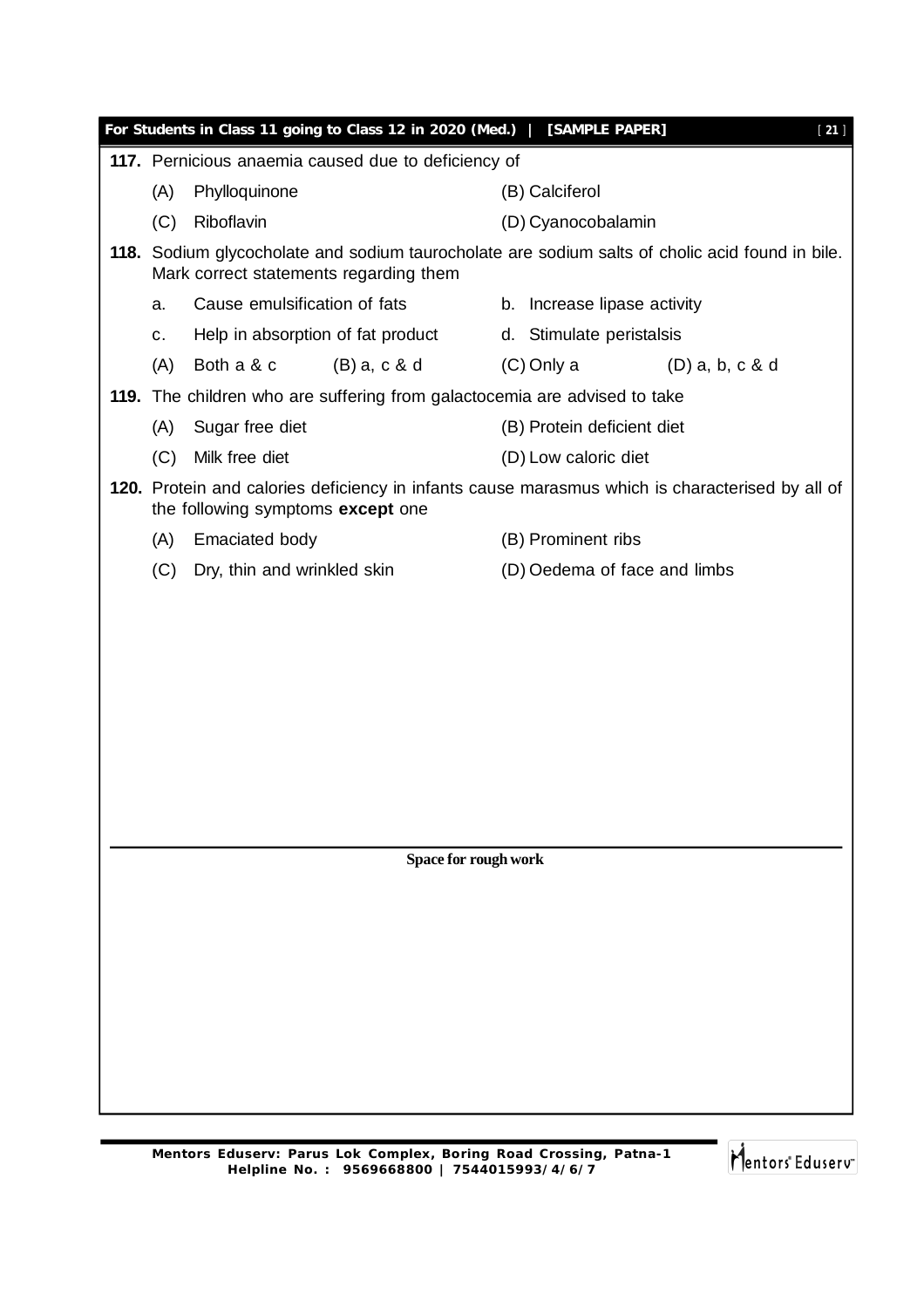|     | For Students in Class 11 going to Class 12 in 2020 (Med.)   [SAMPLE PAPER] | $[21]$                                                                                          |  |  |  |  |  |
|-----|----------------------------------------------------------------------------|-------------------------------------------------------------------------------------------------|--|--|--|--|--|
|     | 117. Pernicious anaemia caused due to deficiency of                        |                                                                                                 |  |  |  |  |  |
| (A) | Phylloquinone                                                              | (B) Calciferol                                                                                  |  |  |  |  |  |
| (C) | Riboflavin                                                                 | (D) Cyanocobalamin                                                                              |  |  |  |  |  |
|     | Mark correct statements regarding them                                     | 118. Sodium glycocholate and sodium taurocholate are sodium salts of cholic acid found in bile. |  |  |  |  |  |
| a.  | Cause emulsification of fats                                               | b. Increase lipase activity                                                                     |  |  |  |  |  |
| C.  | Help in absorption of fat product                                          | d. Stimulate peristalsis                                                                        |  |  |  |  |  |
| (A) | Both a & c<br>$(B)$ a, c & d                                               | (C) Only a<br>$(D)$ a, b, c & d                                                                 |  |  |  |  |  |
|     | 119. The children who are suffering from galactocemia are advised to take  |                                                                                                 |  |  |  |  |  |
| (A) | Sugar free diet                                                            | (B) Protein deficient diet                                                                      |  |  |  |  |  |
| (C) | Milk free diet                                                             | (D) Low caloric diet                                                                            |  |  |  |  |  |
|     | the following symptoms except one                                          | 120. Protein and calories deficiency in infants cause marasmus which is characterised by all of |  |  |  |  |  |
| (A) | <b>Emaciated body</b>                                                      | (B) Prominent ribs                                                                              |  |  |  |  |  |
| (C) | Dry, thin and wrinkled skin                                                | (D) Oedema of face and limbs                                                                    |  |  |  |  |  |
|     |                                                                            |                                                                                                 |  |  |  |  |  |
|     |                                                                            |                                                                                                 |  |  |  |  |  |
|     |                                                                            |                                                                                                 |  |  |  |  |  |
|     |                                                                            |                                                                                                 |  |  |  |  |  |
|     | Space for rough work                                                       |                                                                                                 |  |  |  |  |  |
|     |                                                                            |                                                                                                 |  |  |  |  |  |
|     |                                                                            |                                                                                                 |  |  |  |  |  |
|     |                                                                            |                                                                                                 |  |  |  |  |  |
|     |                                                                            |                                                                                                 |  |  |  |  |  |
|     |                                                                            |                                                                                                 |  |  |  |  |  |
|     |                                                                            |                                                                                                 |  |  |  |  |  |
|     |                                                                            |                                                                                                 |  |  |  |  |  |
|     |                                                                            |                                                                                                 |  |  |  |  |  |
|     |                                                                            |                                                                                                 |  |  |  |  |  |

Mentors<sup>e</sup> Eduserv